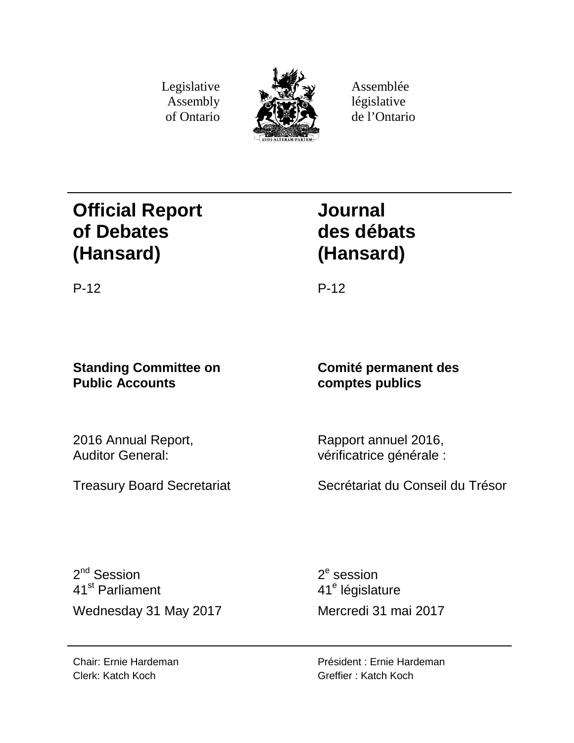Legislative Assembly of Ontario



Assemblée législative de l'Ontario

# **Official Report of Debates (Hansard)**

# **Journal des débats (Hansard)**

P-12 P-12

# **Standing Committee on Public Accounts**

2016 Annual Report, Auditor General:

Rapport annuel 2016, vérificatrice générale :

**Comité permanent des**

**comptes publics**

Treasury Board Secretariat

Secrétariat du Conseil du Trésor

 $2^{nd}$  Session 41st Parliament Wednesday 31 May 2017 Mercredi 31 mai 2017

 $2<sup>e</sup>$  session 41<sup>e</sup> législature

Président : Ernie Hardeman Greffier : Katch Koch

Chair: Ernie Hardeman Clerk: Katch Koch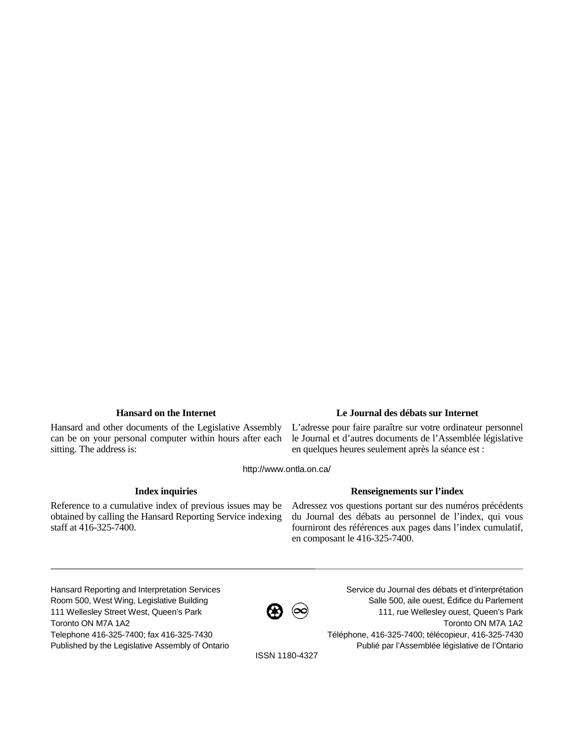Hansard and other documents of the Legislative Assembly can be on your personal computer within hours after each sitting. The address is:

# **Hansard on the Internet Le Journal des débats sur Internet**

L'adresse pour faire paraître sur votre ordinateur personnel le Journal et d'autres documents de l'Assemblée législative en quelques heures seulement après la séance est :

http://www.ontla.on.ca/

Reference to a cumulative index of previous issues may be obtained by calling the Hansard Reporting Service indexing staff at 416-325-7400.

# **Index inquiries Renseignements sur l'index**

Adressez vos questions portant sur des numéros précédents du Journal des débats au personnel de l'index, qui vous fourniront des références aux pages dans l'index cumulatif, en composant le 416-325-7400.

Hansard Reporting and Interpretation Services Room 500, West Wing, Legislative Building 111 Wellesley Street West, Queen's Park Toronto ON M7A 1A2 Telephone 416-325-7400; fax 416-325-7430 Published by the Legislative Assembly of Ontario



Service du Journal des débats et d'interprétation Salle 500, aile ouest, Édifice du Parlement 111, rue Wellesley ouest, Queen's Park Toronto ON M7A 1A2 Téléphone, 416-325-7400; télécopieur, 416-325-7430 Publié par l'Assemblée législative de l'Ontario

ISSN 1180-4327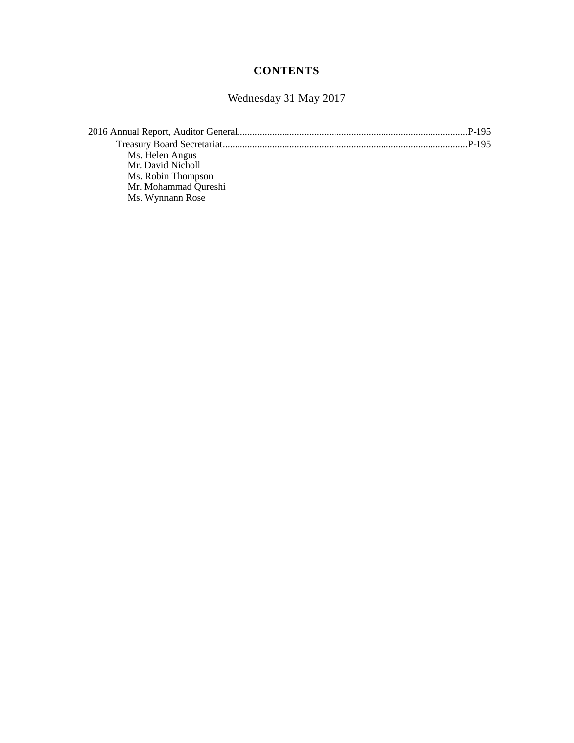# **CONTENTS**

Wednesday 31 May 2017

| Ms. Helen Angus      |  |
|----------------------|--|
| Mr. David Nicholl    |  |
| Ms. Robin Thompson   |  |
| Mr. Mohammad Qureshi |  |
| Ms. Wynnann Rose     |  |
|                      |  |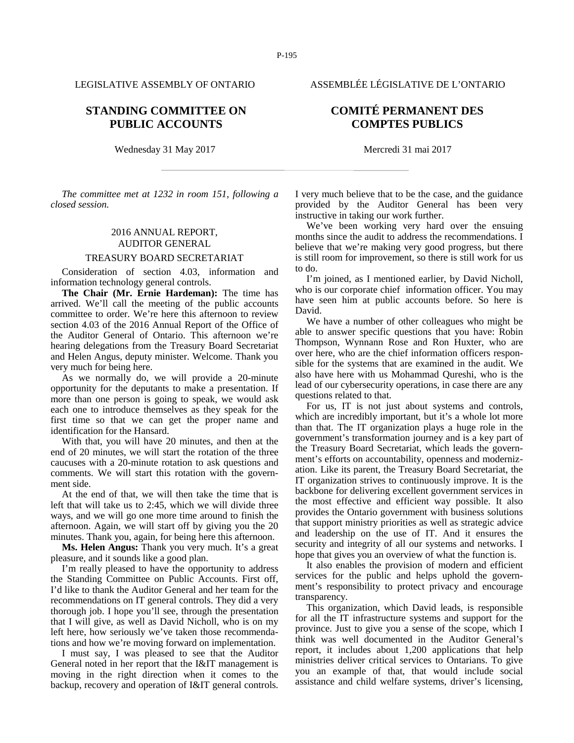# **STANDING COMMITTEE ON PUBLIC ACCOUNTS**

Wednesday 31 May 2017 Mercredi 31 mai 2017

*The committee met at 1232 in room 151, following a closed session.*

# 2016 ANNUAL REPORT, AUDITOR GENERAL

# TREASURY BOARD SECRETARIAT

Consideration of section 4.03, information and information technology general controls.

**The Chair (Mr. Ernie Hardeman):** The time has arrived. We'll call the meeting of the public accounts committee to order. We're here this afternoon to review section 4.03 of the 2016 Annual Report of the Office of the Auditor General of Ontario. This afternoon we're hearing delegations from the Treasury Board Secretariat and Helen Angus, deputy minister. Welcome. Thank you very much for being here.

As we normally do, we will provide a 20-minute opportunity for the deputants to make a presentation. If more than one person is going to speak, we would ask each one to introduce themselves as they speak for the first time so that we can get the proper name and identification for the Hansard.

With that, you will have 20 minutes, and then at the end of 20 minutes, we will start the rotation of the three caucuses with a 20-minute rotation to ask questions and comments. We will start this rotation with the government side.

At the end of that, we will then take the time that is left that will take us to 2:45, which we will divide three ways, and we will go one more time around to finish the afternoon. Again, we will start off by giving you the 20 minutes. Thank you, again, for being here this afternoon.

**Ms. Helen Angus:** Thank you very much. It's a great pleasure, and it sounds like a good plan.

I'm really pleased to have the opportunity to address the Standing Committee on Public Accounts. First off, I'd like to thank the Auditor General and her team for the recommendations on IT general controls. They did a very thorough job. I hope you'll see, through the presentation that I will give, as well as David Nicholl, who is on my left here, how seriously we've taken those recommendations and how we're moving forward on implementation.

I must say, I was pleased to see that the Auditor General noted in her report that the I&IT management is moving in the right direction when it comes to the backup, recovery and operation of I&IT general controls.

I very much believe that to be the case, and the guidance provided by the Auditor General has been very

instructive in taking our work further. We've been working very hard over the ensuing months since the audit to address the recommendations. I believe that we're making very good progress, but there is still room for improvement, so there is still work for us to do.

I'm joined, as I mentioned earlier, by David Nicholl, who is our corporate chief information officer. You may have seen him at public accounts before. So here is David.

We have a number of other colleagues who might be able to answer specific questions that you have: Robin Thompson, Wynnann Rose and Ron Huxter, who are over here, who are the chief information officers responsible for the systems that are examined in the audit. We also have here with us Mohammad Qureshi, who is the lead of our cybersecurity operations, in case there are any questions related to that.

For us, IT is not just about systems and controls, which are incredibly important, but it's a whole lot more than that. The IT organization plays a huge role in the government's transformation journey and is a key part of the Treasury Board Secretariat, which leads the government's efforts on accountability, openness and modernization. Like its parent, the Treasury Board Secretariat, the IT organization strives to continuously improve. It is the backbone for delivering excellent government services in the most effective and efficient way possible. It also provides the Ontario government with business solutions that support ministry priorities as well as strategic advice and leadership on the use of IT. And it ensures the security and integrity of all our systems and networks. I hope that gives you an overview of what the function is.

It also enables the provision of modern and efficient services for the public and helps uphold the government's responsibility to protect privacy and encourage transparency.

This organization, which David leads, is responsible for all the IT infrastructure systems and support for the province. Just to give you a sense of the scope, which I think was well documented in the Auditor General's report, it includes about 1,200 applications that help ministries deliver critical services to Ontarians. To give you an example of that, that would include social assistance and child welfare systems, driver's licensing,

# LEGISLATIVE ASSEMBLY OF ONTARIO ASSEMBLÉE LÉGISLATIVE DE L'ONTARIO

# **COMITÉ PERMANENT DES COMPTES PUBLICS**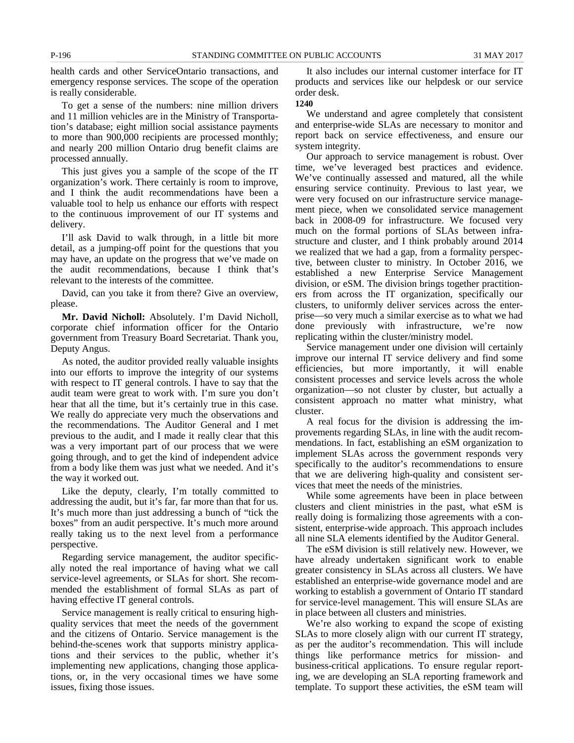To get a sense of the numbers: nine million drivers and 11 million vehicles are in the Ministry of Transportation's database; eight million social assistance payments to more than 900,000 recipients are processed monthly; and nearly 200 million Ontario drug benefit claims are processed annually.

This just gives you a sample of the scope of the IT organization's work. There certainly is room to improve, and I think the audit recommendations have been a valuable tool to help us enhance our efforts with respect to the continuous improvement of our IT systems and delivery.

I'll ask David to walk through, in a little bit more detail, as a jumping-off point for the questions that you may have, an update on the progress that we've made on the audit recommendations, because I think that's relevant to the interests of the committee.

David, can you take it from there? Give an overview, please.

**Mr. David Nicholl:** Absolutely. I'm David Nicholl, corporate chief information officer for the Ontario government from Treasury Board Secretariat. Thank you, Deputy Angus.

As noted, the auditor provided really valuable insights into our efforts to improve the integrity of our systems with respect to IT general controls. I have to say that the audit team were great to work with. I'm sure you don't hear that all the time, but it's certainly true in this case. We really do appreciate very much the observations and the recommendations. The Auditor General and I met previous to the audit, and I made it really clear that this was a very important part of our process that we were going through, and to get the kind of independent advice from a body like them was just what we needed. And it's the way it worked out.

Like the deputy, clearly, I'm totally committed to addressing the audit, but it's far, far more than that for us. It's much more than just addressing a bunch of "tick the boxes" from an audit perspective. It's much more around really taking us to the next level from a performance perspective.

Regarding service management, the auditor specifically noted the real importance of having what we call service-level agreements, or SLAs for short. She recommended the establishment of formal SLAs as part of having effective IT general controls.

Service management is really critical to ensuring highquality services that meet the needs of the government and the citizens of Ontario. Service management is the behind-the-scenes work that supports ministry applications and their services to the public, whether it's implementing new applications, changing those applications, or, in the very occasional times we have some issues, fixing those issues.

It also includes our internal customer interface for IT products and services like our helpdesk or our service order desk.

### **1240**

We understand and agree completely that consistent and enterprise-wide SLAs are necessary to monitor and report back on service effectiveness, and ensure our system integrity.

Our approach to service management is robust. Over time, we've leveraged best practices and evidence. We've continually assessed and matured, all the while ensuring service continuity. Previous to last year, we were very focused on our infrastructure service management piece, when we consolidated service management back in 2008-09 for infrastructure. We focused very much on the formal portions of SLAs between infrastructure and cluster, and I think probably around 2014 we realized that we had a gap, from a formality perspective, between cluster to ministry. In October 2016, we established a new Enterprise Service Management division, or eSM. The division brings together practitioners from across the IT organization, specifically our clusters, to uniformly deliver services across the enterprise—so very much a similar exercise as to what we had done previously with infrastructure, we're now replicating within the cluster/ministry model.

Service management under one division will certainly improve our internal IT service delivery and find some efficiencies, but more importantly, it will enable consistent processes and service levels across the whole organization—so not cluster by cluster, but actually a consistent approach no matter what ministry, what cluster.

A real focus for the division is addressing the improvements regarding SLAs, in line with the audit recommendations. In fact, establishing an eSM organization to implement SLAs across the government responds very specifically to the auditor's recommendations to ensure that we are delivering high-quality and consistent services that meet the needs of the ministries.

While some agreements have been in place between clusters and client ministries in the past, what eSM is really doing is formalizing those agreements with a consistent, enterprise-wide approach. This approach includes all nine SLA elements identified by the Auditor General.

The eSM division is still relatively new. However, we have already undertaken significant work to enable greater consistency in SLAs across all clusters. We have established an enterprise-wide governance model and are working to establish a government of Ontario IT standard for service-level management. This will ensure SLAs are in place between all clusters and ministries.

We're also working to expand the scope of existing SLAs to more closely align with our current IT strategy, as per the auditor's recommendation. This will include things like performance metrics for mission- and business-critical applications. To ensure regular reporting, we are developing an SLA reporting framework and template. To support these activities, the eSM team will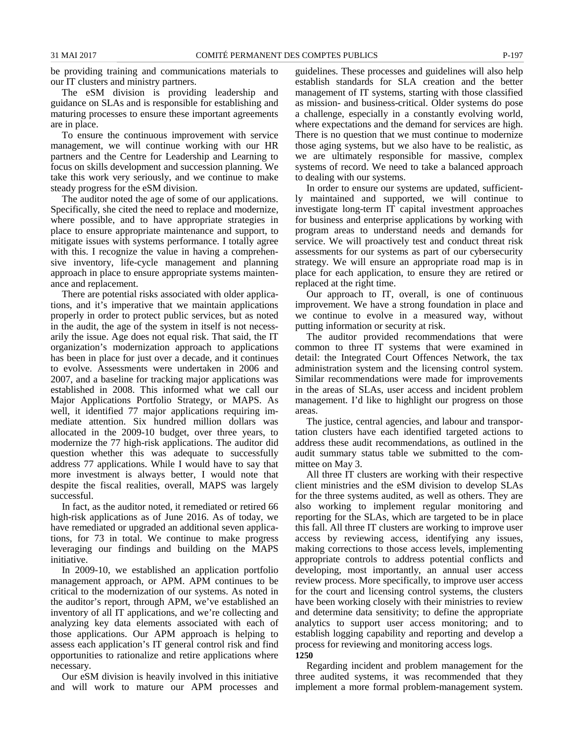be providing training and communications materials to our IT clusters and ministry partners.

The eSM division is providing leadership and guidance on SLAs and is responsible for establishing and maturing processes to ensure these important agreements are in place.

To ensure the continuous improvement with service management, we will continue working with our HR partners and the Centre for Leadership and Learning to focus on skills development and succession planning. We take this work very seriously, and we continue to make steady progress for the eSM division.

The auditor noted the age of some of our applications. Specifically, she cited the need to replace and modernize, where possible, and to have appropriate strategies in place to ensure appropriate maintenance and support, to mitigate issues with systems performance. I totally agree with this. I recognize the value in having a comprehensive inventory, life-cycle management and planning approach in place to ensure appropriate systems maintenance and replacement.

There are potential risks associated with older applications, and it's imperative that we maintain applications properly in order to protect public services, but as noted in the audit, the age of the system in itself is not necessarily the issue. Age does not equal risk. That said, the IT organization's modernization approach to applications has been in place for just over a decade, and it continues to evolve. Assessments were undertaken in 2006 and 2007, and a baseline for tracking major applications was established in 2008. This informed what we call our Major Applications Portfolio Strategy, or MAPS. As well, it identified 77 major applications requiring immediate attention. Six hundred million dollars was allocated in the 2009-10 budget, over three years, to modernize the 77 high-risk applications. The auditor did question whether this was adequate to successfully address 77 applications. While I would have to say that more investment is always better, I would note that despite the fiscal realities, overall, MAPS was largely successful.

In fact, as the auditor noted, it remediated or retired 66 high-risk applications as of June 2016. As of today, we have remediated or upgraded an additional seven applications, for 73 in total. We continue to make progress leveraging our findings and building on the MAPS initiative.

In 2009-10, we established an application portfolio management approach, or APM. APM continues to be critical to the modernization of our systems. As noted in the auditor's report, through APM, we've established an inventory of all IT applications, and we're collecting and analyzing key data elements associated with each of those applications. Our APM approach is helping to assess each application's IT general control risk and find opportunities to rationalize and retire applications where necessary.

Our eSM division is heavily involved in this initiative and will work to mature our APM processes and guidelines. These processes and guidelines will also help establish standards for SLA creation and the better management of IT systems, starting with those classified as mission- and business-critical. Older systems do pose a challenge, especially in a constantly evolving world, where expectations and the demand for services are high. There is no question that we must continue to modernize those aging systems, but we also have to be realistic, as we are ultimately responsible for massive, complex systems of record. We need to take a balanced approach to dealing with our systems.

In order to ensure our systems are updated, sufficiently maintained and supported, we will continue to investigate long-term IT capital investment approaches for business and enterprise applications by working with program areas to understand needs and demands for service. We will proactively test and conduct threat risk assessments for our systems as part of our cybersecurity strategy. We will ensure an appropriate road map is in place for each application, to ensure they are retired or replaced at the right time.

Our approach to IT, overall, is one of continuous improvement. We have a strong foundation in place and we continue to evolve in a measured way, without putting information or security at risk.

The auditor provided recommendations that were common to three IT systems that were examined in detail: the Integrated Court Offences Network, the tax administration system and the licensing control system. Similar recommendations were made for improvements in the areas of SLAs, user access and incident problem management. I'd like to highlight our progress on those areas.

The justice, central agencies, and labour and transportation clusters have each identified targeted actions to address these audit recommendations, as outlined in the audit summary status table we submitted to the committee on May 3.

All three IT clusters are working with their respective client ministries and the eSM division to develop SLAs for the three systems audited, as well as others. They are also working to implement regular monitoring and reporting for the SLAs, which are targeted to be in place this fall. All three IT clusters are working to improve user access by reviewing access, identifying any issues, making corrections to those access levels, implementing appropriate controls to address potential conflicts and developing, most importantly, an annual user access review process. More specifically, to improve user access for the court and licensing control systems, the clusters have been working closely with their ministries to review and determine data sensitivity; to define the appropriate analytics to support user access monitoring; and to establish logging capability and reporting and develop a process for reviewing and monitoring access logs.

#### **1250**

Regarding incident and problem management for the three audited systems, it was recommended that they implement a more formal problem-management system.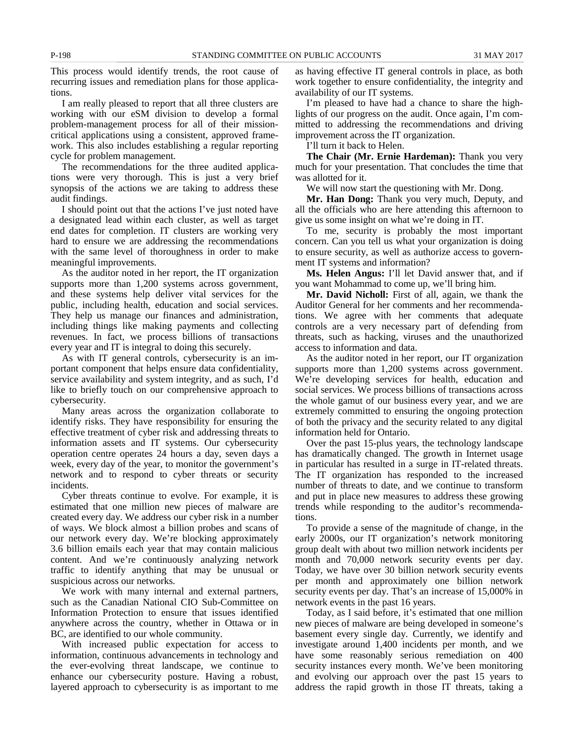This process would identify trends, the root cause of recurring issues and remediation plans for those applications.

I am really pleased to report that all three clusters are working with our eSM division to develop a formal problem-management process for all of their missioncritical applications using a consistent, approved framework. This also includes establishing a regular reporting cycle for problem management.

The recommendations for the three audited applications were very thorough. This is just a very brief synopsis of the actions we are taking to address these audit findings.

I should point out that the actions I've just noted have a designated lead within each cluster, as well as target end dates for completion. IT clusters are working very hard to ensure we are addressing the recommendations with the same level of thoroughness in order to make meaningful improvements.

As the auditor noted in her report, the IT organization supports more than 1,200 systems across government, and these systems help deliver vital services for the public, including health, education and social services. They help us manage our finances and administration, including things like making payments and collecting revenues. In fact, we process billions of transactions every year and IT is integral to doing this securely.

As with IT general controls, cybersecurity is an important component that helps ensure data confidentiality, service availability and system integrity, and as such, I'd like to briefly touch on our comprehensive approach to cybersecurity.

Many areas across the organization collaborate to identify risks. They have responsibility for ensuring the effective treatment of cyber risk and addressing threats to information assets and IT systems. Our cybersecurity operation centre operates 24 hours a day, seven days a week, every day of the year, to monitor the government's network and to respond to cyber threats or security incidents.

Cyber threats continue to evolve. For example, it is estimated that one million new pieces of malware are created every day. We address our cyber risk in a number of ways. We block almost a billion probes and scans of our network every day. We're blocking approximately 3.6 billion emails each year that may contain malicious content. And we're continuously analyzing network traffic to identify anything that may be unusual or suspicious across our networks.

We work with many internal and external partners, such as the Canadian National CIO Sub-Committee on Information Protection to ensure that issues identified anywhere across the country, whether in Ottawa or in BC, are identified to our whole community.

With increased public expectation for access to information, continuous advancements in technology and the ever-evolving threat landscape, we continue to enhance our cybersecurity posture. Having a robust, layered approach to cybersecurity is as important to me as having effective IT general controls in place, as both work together to ensure confidentiality, the integrity and availability of our IT systems.

I'm pleased to have had a chance to share the highlights of our progress on the audit. Once again, I'm committed to addressing the recommendations and driving improvement across the IT organization.

I'll turn it back to Helen.

**The Chair (Mr. Ernie Hardeman):** Thank you very much for your presentation. That concludes the time that was allotted for it.

We will now start the questioning with Mr. Dong.

**Mr. Han Dong:** Thank you very much, Deputy, and all the officials who are here attending this afternoon to give us some insight on what we're doing in IT.

To me, security is probably the most important concern. Can you tell us what your organization is doing to ensure security, as well as authorize access to government IT systems and information?

**Ms. Helen Angus:** I'll let David answer that, and if you want Mohammad to come up, we'll bring him.

**Mr. David Nicholl:** First of all, again, we thank the Auditor General for her comments and her recommendations. We agree with her comments that adequate controls are a very necessary part of defending from threats, such as hacking, viruses and the unauthorized access to information and data.

As the auditor noted in her report, our IT organization supports more than 1,200 systems across government. We're developing services for health, education and social services. We process billions of transactions across the whole gamut of our business every year, and we are extremely committed to ensuring the ongoing protection of both the privacy and the security related to any digital information held for Ontario.

Over the past 15-plus years, the technology landscape has dramatically changed. The growth in Internet usage in particular has resulted in a surge in IT-related threats. The IT organization has responded to the increased number of threats to date, and we continue to transform and put in place new measures to address these growing trends while responding to the auditor's recommendations.

To provide a sense of the magnitude of change, in the early 2000s, our IT organization's network monitoring group dealt with about two million network incidents per month and 70,000 network security events per day. Today, we have over 30 billion network security events per month and approximately one billion network security events per day. That's an increase of 15,000% in network events in the past 16 years.

Today, as I said before, it's estimated that one million new pieces of malware are being developed in someone's basement every single day. Currently, we identify and investigate around 1,400 incidents per month, and we have some reasonably serious remediation on 400 security instances every month. We've been monitoring and evolving our approach over the past 15 years to address the rapid growth in those IT threats, taking a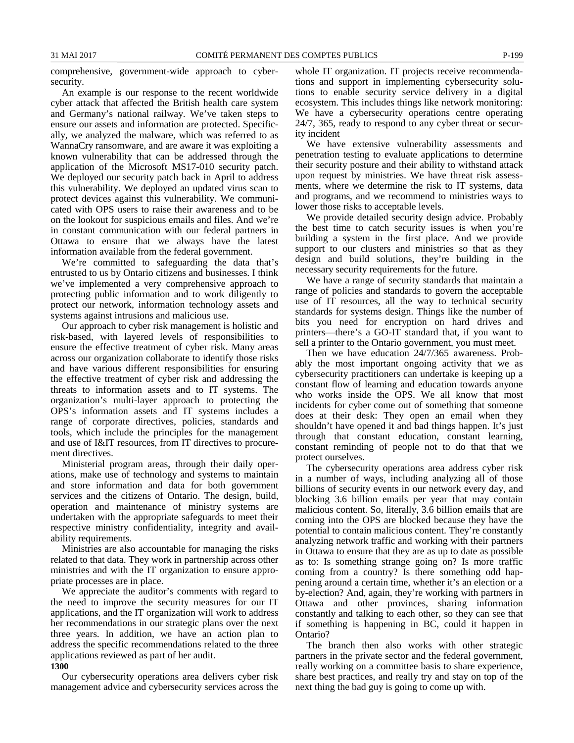comprehensive, government-wide approach to cybersecurity.

An example is our response to the recent worldwide cyber attack that affected the British health care system and Germany's national railway. We've taken steps to ensure our assets and information are protected. Specifically, we analyzed the malware, which was referred to as WannaCry ransomware, and are aware it was exploiting a known vulnerability that can be addressed through the application of the Microsoft MS17-010 security patch. We deployed our security patch back in April to address this vulnerability. We deployed an updated virus scan to protect devices against this vulnerability. We communicated with OPS users to raise their awareness and to be on the lookout for suspicious emails and files. And we're in constant communication with our federal partners in Ottawa to ensure that we always have the latest information available from the federal government.

We're committed to safeguarding the data that's entrusted to us by Ontario citizens and businesses. I think we've implemented a very comprehensive approach to protecting public information and to work diligently to protect our network, information technology assets and systems against intrusions and malicious use.

Our approach to cyber risk management is holistic and risk-based, with layered levels of responsibilities to ensure the effective treatment of cyber risk. Many areas across our organization collaborate to identify those risks and have various different responsibilities for ensuring the effective treatment of cyber risk and addressing the threats to information assets and to IT systems. The organization's multi-layer approach to protecting the OPS's information assets and IT systems includes a range of corporate directives, policies, standards and tools, which include the principles for the management and use of I&IT resources, from IT directives to procurement directives.

Ministerial program areas, through their daily operations, make use of technology and systems to maintain and store information and data for both government services and the citizens of Ontario. The design, build, operation and maintenance of ministry systems are undertaken with the appropriate safeguards to meet their respective ministry confidentiality, integrity and availability requirements.

Ministries are also accountable for managing the risks related to that data. They work in partnership across other ministries and with the IT organization to ensure appropriate processes are in place.

We appreciate the auditor's comments with regard to the need to improve the security measures for our IT applications, and the IT organization will work to address her recommendations in our strategic plans over the next three years. In addition, we have an action plan to address the specific recommendations related to the three applications reviewed as part of her audit.

### **1300**

Our cybersecurity operations area delivers cyber risk management advice and cybersecurity services across the whole IT organization. IT projects receive recommendations and support in implementing cybersecurity solutions to enable security service delivery in a digital ecosystem. This includes things like network monitoring: We have a cybersecurity operations centre operating 24/7, 365, ready to respond to any cyber threat or security incident

We have extensive vulnerability assessments and penetration testing to evaluate applications to determine their security posture and their ability to withstand attack upon request by ministries. We have threat risk assessments, where we determine the risk to IT systems, data and programs, and we recommend to ministries ways to lower those risks to acceptable levels.

We provide detailed security design advice. Probably the best time to catch security issues is when you're building a system in the first place. And we provide support to our clusters and ministries so that as they design and build solutions, they're building in the necessary security requirements for the future.

We have a range of security standards that maintain a range of policies and standards to govern the acceptable use of IT resources, all the way to technical security standards for systems design. Things like the number of bits you need for encryption on hard drives and printers—there's a GO-IT standard that, if you want to sell a printer to the Ontario government, you must meet.

Then we have education 24/7/365 awareness. Probably the most important ongoing activity that we as cybersecurity practitioners can undertake is keeping up a constant flow of learning and education towards anyone who works inside the OPS. We all know that most incidents for cyber come out of something that someone does at their desk: They open an email when they shouldn't have opened it and bad things happen. It's just through that constant education, constant learning, constant reminding of people not to do that that we protect ourselves.

The cybersecurity operations area address cyber risk in a number of ways, including analyzing all of those billions of security events in our network every day, and blocking 3.6 billion emails per year that may contain malicious content. So, literally, 3.6 billion emails that are coming into the OPS are blocked because they have the potential to contain malicious content. They're constantly analyzing network traffic and working with their partners in Ottawa to ensure that they are as up to date as possible as to: Is something strange going on? Is more traffic coming from a country? Is there something odd happening around a certain time, whether it's an election or a by-election? And, again, they're working with partners in Ottawa and other provinces, sharing information constantly and talking to each other, so they can see that if something is happening in BC, could it happen in Ontario?

The branch then also works with other strategic partners in the private sector and the federal government, really working on a committee basis to share experience, share best practices, and really try and stay on top of the next thing the bad guy is going to come up with.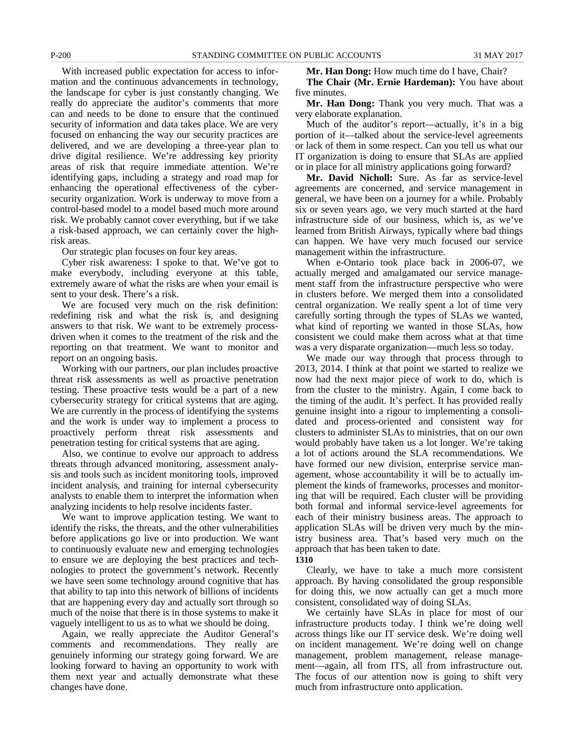With increased public expectation for access to information and the continuous advancements in technology, the landscape for cyber is just constantly changing. We really do appreciate the auditor's comments that more can and needs to be done to ensure that the continued security of information and data takes place. We are very focused on enhancing the way our security practices are delivered, and we are developing a three-year plan to drive digital resilience. We're addressing key priority areas of risk that require immediate attention. We're identifying gaps, including a strategy and road map for enhancing the operational effectiveness of the cybersecurity organization. Work is underway to move from a control-based model to a model based much more around risk. We probably cannot cover everything, but if we take a risk-based approach, we can certainly cover the highrisk areas.

Our strategic plan focuses on four key areas.

Cyber risk awareness: I spoke to that. We've got to make everybody, including everyone at this table, extremely aware of what the risks are when your email is sent to your desk. There's a risk.

We are focused very much on the risk definition: redefining risk and what the risk is, and designing answers to that risk. We want to be extremely processdriven when it comes to the treatment of the risk and the reporting on that treatment. We want to monitor and report on an ongoing basis.

Working with our partners, our plan includes proactive threat risk assessments as well as proactive penetration testing. These proactive tests would be a part of a new cybersecurity strategy for critical systems that are aging. We are currently in the process of identifying the systems and the work is under way to implement a process to proactively perform threat risk assessments and penetration testing for critical systems that are aging.

Also, we continue to evolve our approach to address threats through advanced monitoring, assessment analysis and tools such as incident monitoring tools, improved incident analysis, and training for internal cybersecurity analysts to enable them to interpret the information when analyzing incidents to help resolve incidents faster.

We want to improve application testing. We want to identify the risks, the threats, and the other vulnerabilities before applications go live or into production. We want to continuously evaluate new and emerging technologies to ensure we are deploying the best practices and technologies to protect the government's network. Recently we have seen some technology around cognitive that has that ability to tap into this network of billions of incidents that are happening every day and actually sort through so much of the noise that there is in those systems to make it vaguely intelligent to us as to what we should be doing.

Again, we really appreciate the Auditor General's comments and recommendations. They really are genuinely informing our strategy going forward. We are looking forward to having an opportunity to work with them next year and actually demonstrate what these changes have done.

**Mr. Han Dong:** How much time do I have, Chair?

**The Chair (Mr. Ernie Hardeman):** You have about five minutes.

**Mr. Han Dong:** Thank you very much. That was a very elaborate explanation.

Much of the auditor's report—actually, it's in a big portion of it—talked about the service-level agreements or lack of them in some respect. Can you tell us what our IT organization is doing to ensure that SLAs are applied or in place for all ministry applications going forward?

**Mr. David Nicholl:** Sure. As far as service-level agreements are concerned, and service management in general, we have been on a journey for a while. Probably six or seven years ago, we very much started at the hard infrastructure side of our business, which is, as we've learned from British Airways, typically where bad things can happen. We have very much focused our service management within the infrastructure.

When e-Ontario took place back in 2006-07, we actually merged and amalgamated our service management staff from the infrastructure perspective who were in clusters before. We merged them into a consolidated central organization. We really spent a lot of time very carefully sorting through the types of SLAs we wanted, what kind of reporting we wanted in those SLAs, how consistent we could make them across what at that time was a very disparate organization—much less so today.

We made our way through that process through to 2013, 2014. I think at that point we started to realize we now had the next major piece of work to do, which is from the cluster to the ministry. Again, I come back to the timing of the audit. It's perfect. It has provided really genuine insight into a rigour to implementing a consolidated and process-oriented and consistent way for clusters to administer SLAs to ministries, that on our own would probably have taken us a lot longer. We're taking a lot of actions around the SLA recommendations. We have formed our new division, enterprise service management, whose accountability it will be to actually implement the kinds of frameworks, processes and monitoring that will be required. Each cluster will be providing both formal and informal service-level agreements for each of their ministry business areas. The approach to application SLAs will be driven very much by the ministry business area. That's based very much on the approach that has been taken to date. **1310**

Clearly, we have to take a much more consistent approach. By having consolidated the group responsible for doing this, we now actually can get a much more consistent, consolidated way of doing SLAs.

We certainly have SLAs in place for most of our infrastructure products today. I think we're doing well across things like our IT service desk. We're doing well on incident management. We're doing well on change management, problem management, release management—again, all from ITS, all from infrastructure out. The focus of our attention now is going to shift very much from infrastructure onto application.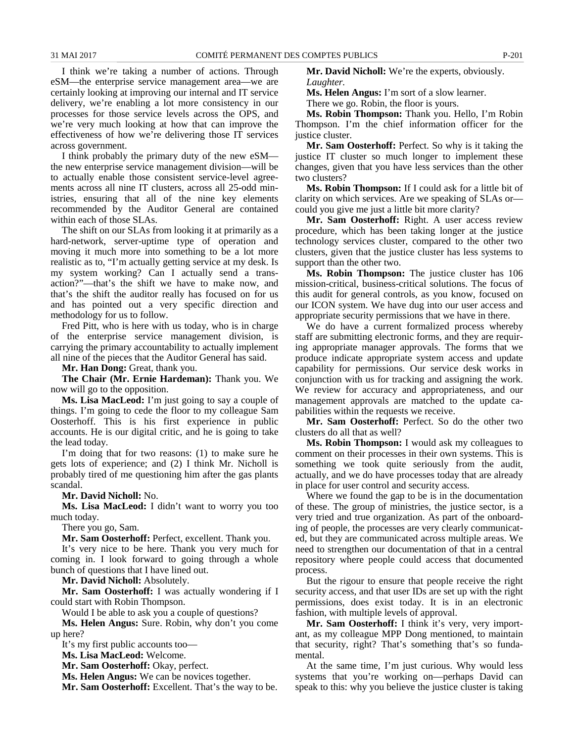I think we're taking a number of actions. Through eSM—the enterprise service management area—we are certainly looking at improving our internal and IT service delivery, we're enabling a lot more consistency in our processes for those service levels across the OPS, and we're very much looking at how that can improve the effectiveness of how we're delivering those IT services across government.

I think probably the primary duty of the new eSM the new enterprise service management division—will be to actually enable those consistent service-level agreements across all nine IT clusters, across all 25-odd ministries, ensuring that all of the nine key elements recommended by the Auditor General are contained within each of those SLAs.

The shift on our SLAs from looking it at primarily as a hard-network, server-uptime type of operation and moving it much more into something to be a lot more realistic as to, "I'm actually getting service at my desk. Is my system working? Can I actually send a transaction?"—that's the shift we have to make now, and that's the shift the auditor really has focused on for us and has pointed out a very specific direction and methodology for us to follow.

Fred Pitt, who is here with us today, who is in charge of the enterprise service management division, is carrying the primary accountability to actually implement all nine of the pieces that the Auditor General has said.

**Mr. Han Dong:** Great, thank you.

**The Chair (Mr. Ernie Hardeman):** Thank you. We now will go to the opposition.

**Ms. Lisa MacLeod:** I'm just going to say a couple of things. I'm going to cede the floor to my colleague Sam Oosterhoff. This is his first experience in public accounts. He is our digital critic, and he is going to take the lead today.

I'm doing that for two reasons: (1) to make sure he gets lots of experience; and (2) I think Mr. Nicholl is probably tired of me questioning him after the gas plants scandal.

**Mr. David Nicholl:** No.

**Ms. Lisa MacLeod:** I didn't want to worry you too much today.

There you go, Sam.

**Mr. Sam Oosterhoff:** Perfect, excellent. Thank you.

It's very nice to be here. Thank you very much for coming in. I look forward to going through a whole bunch of questions that I have lined out.

**Mr. David Nicholl:** Absolutely.

**Mr. Sam Oosterhoff:** I was actually wondering if I could start with Robin Thompson.

Would I be able to ask you a couple of questions?

**Ms. Helen Angus:** Sure. Robin, why don't you come up here?

It's my first public accounts too—

**Ms. Lisa MacLeod:** Welcome.

**Mr. Sam Oosterhoff:** Okay, perfect.

**Ms. Helen Angus:** We can be novices together.

**Mr. Sam Oosterhoff:** Excellent. That's the way to be.

**Mr. David Nicholl:** We're the experts, obviously. *Laughter.*

**Ms. Helen Angus:** I'm sort of a slow learner.

There we go. Robin, the floor is yours.

**Ms. Robin Thompson:** Thank you. Hello, I'm Robin Thompson. I'm the chief information officer for the justice cluster.

**Mr. Sam Oosterhoff:** Perfect. So why is it taking the justice IT cluster so much longer to implement these changes, given that you have less services than the other two clusters?

**Ms. Robin Thompson:** If I could ask for a little bit of clarity on which services. Are we speaking of SLAs or could you give me just a little bit more clarity?

**Mr. Sam Oosterhoff:** Right. A user access review procedure, which has been taking longer at the justice technology services cluster, compared to the other two clusters, given that the justice cluster has less systems to support than the other two.

**Ms. Robin Thompson:** The justice cluster has 106 mission-critical, business-critical solutions. The focus of this audit for general controls, as you know, focused on our ICON system. We have dug into our user access and appropriate security permissions that we have in there.

We do have a current formalized process whereby staff are submitting electronic forms, and they are requiring appropriate manager approvals. The forms that we produce indicate appropriate system access and update capability for permissions. Our service desk works in conjunction with us for tracking and assigning the work. We review for accuracy and appropriateness, and our management approvals are matched to the update capabilities within the requests we receive.

**Mr. Sam Oosterhoff:** Perfect. So do the other two clusters do all that as well?

**Ms. Robin Thompson:** I would ask my colleagues to comment on their processes in their own systems. This is something we took quite seriously from the audit, actually, and we do have processes today that are already in place for user control and security access.

Where we found the gap to be is in the documentation of these. The group of ministries, the justice sector, is a very tried and true organization. As part of the onboarding of people, the processes are very clearly communicated, but they are communicated across multiple areas. We need to strengthen our documentation of that in a central repository where people could access that documented process.

But the rigour to ensure that people receive the right security access, and that user IDs are set up with the right permissions, does exist today. It is in an electronic fashion, with multiple levels of approval.

**Mr. Sam Oosterhoff:** I think it's very, very important, as my colleague MPP Dong mentioned, to maintain that security, right? That's something that's so fundamental.

At the same time, I'm just curious. Why would less systems that you're working on—perhaps David can speak to this: why you believe the justice cluster is taking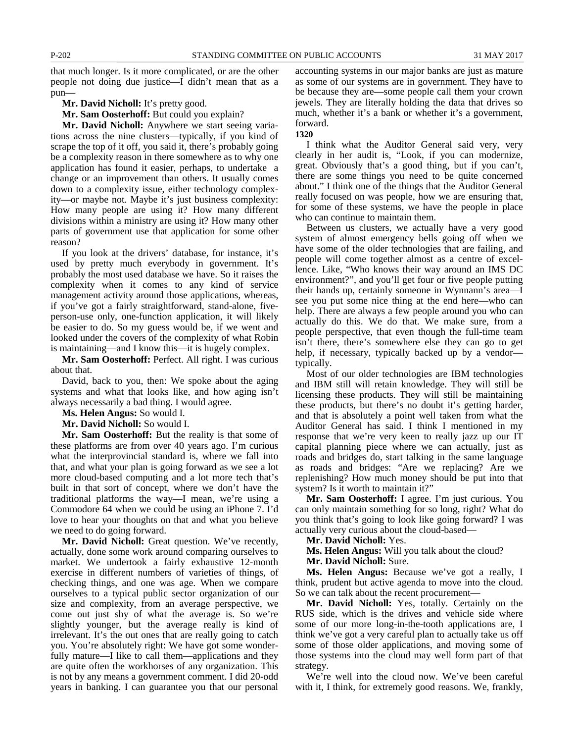that much longer. Is it more complicated, or are the other people not doing due justice—I didn't mean that as a pun—

**Mr. David Nicholl:** It's pretty good.

**Mr. Sam Oosterhoff:** But could you explain?

**Mr. David Nicholl:** Anywhere we start seeing variations across the nine clusters—typically, if you kind of scrape the top of it off, you said it, there's probably going be a complexity reason in there somewhere as to why one application has found it easier, perhaps, to undertake a change or an improvement than others. It usually comes down to a complexity issue, either technology complexity—or maybe not. Maybe it's just business complexity: How many people are using it? How many different divisions within a ministry are using it? How many other parts of government use that application for some other reason?

If you look at the drivers' database, for instance, it's used by pretty much everybody in government. It's probably the most used database we have. So it raises the complexity when it comes to any kind of service management activity around those applications, whereas, if you've got a fairly straightforward, stand-alone, fiveperson-use only, one-function application, it will likely be easier to do. So my guess would be, if we went and looked under the covers of the complexity of what Robin is maintaining—and I know this—it is hugely complex.

**Mr. Sam Oosterhoff:** Perfect. All right. I was curious about that.

David, back to you, then: We spoke about the aging systems and what that looks like, and how aging isn't always necessarily a bad thing. I would agree.

**Ms. Helen Angus:** So would I.

**Mr. David Nicholl:** So would I.

**Mr. Sam Oosterhoff:** But the reality is that some of these platforms are from over 40 years ago. I'm curious what the interprovincial standard is, where we fall into that, and what your plan is going forward as we see a lot more cloud-based computing and a lot more tech that's built in that sort of concept, where we don't have the traditional platforms the way—I mean, we're using a Commodore 64 when we could be using an iPhone 7. I'd love to hear your thoughts on that and what you believe we need to do going forward.

**Mr. David Nicholl:** Great question. We've recently, actually, done some work around comparing ourselves to market. We undertook a fairly exhaustive 12-month exercise in different numbers of varieties of things, of checking things, and one was age. When we compare ourselves to a typical public sector organization of our size and complexity, from an average perspective, we come out just shy of what the average is. So we're slightly younger, but the average really is kind of irrelevant. It's the out ones that are really going to catch you. You're absolutely right: We have got some wonderfully mature—I like to call them—applications and they are quite often the workhorses of any organization. This is not by any means a government comment. I did 20-odd years in banking. I can guarantee you that our personal

accounting systems in our major banks are just as mature as some of our systems are in government. They have to be because they are—some people call them your crown jewels. They are literally holding the data that drives so much, whether it's a bank or whether it's a government, forward.

**1320**

I think what the Auditor General said very, very clearly in her audit is, "Look, if you can modernize, great. Obviously that's a good thing, but if you can't, there are some things you need to be quite concerned about." I think one of the things that the Auditor General really focused on was people, how we are ensuring that, for some of these systems, we have the people in place who can continue to maintain them.

Between us clusters, we actually have a very good system of almost emergency bells going off when we have some of the older technologies that are failing, and people will come together almost as a centre of excellence. Like, "Who knows their way around an IMS DC environment?", and you'll get four or five people putting their hands up, certainly someone in Wynnann's area—I see you put some nice thing at the end here—who can help. There are always a few people around you who can actually do this. We do that. We make sure, from a people perspective, that even though the full-time team isn't there, there's somewhere else they can go to get help, if necessary, typically backed up by a vendor typically.

Most of our older technologies are IBM technologies and IBM still will retain knowledge. They will still be licensing these products. They will still be maintaining these products, but there's no doubt it's getting harder, and that is absolutely a point well taken from what the Auditor General has said. I think I mentioned in my response that we're very keen to really jazz up our IT capital planning piece where we can actually, just as roads and bridges do, start talking in the same language as roads and bridges: "Are we replacing? Are we replenishing? How much money should be put into that system? Is it worth to maintain it?"

**Mr. Sam Oosterhoff:** I agree. I'm just curious. You can only maintain something for so long, right? What do you think that's going to look like going forward? I was actually very curious about the cloud-based—

**Mr. David Nicholl:** Yes.

**Ms. Helen Angus:** Will you talk about the cloud?

**Mr. David Nicholl:** Sure.

**Ms. Helen Angus:** Because we've got a really, I think, prudent but active agenda to move into the cloud. So we can talk about the recent procurement—

**Mr. David Nicholl:** Yes, totally. Certainly on the RUS side, which is the drives and vehicle side where some of our more long-in-the-tooth applications are, I think we've got a very careful plan to actually take us off some of those older applications, and moving some of those systems into the cloud may well form part of that strategy.

We're well into the cloud now. We've been careful with it, I think, for extremely good reasons. We, frankly,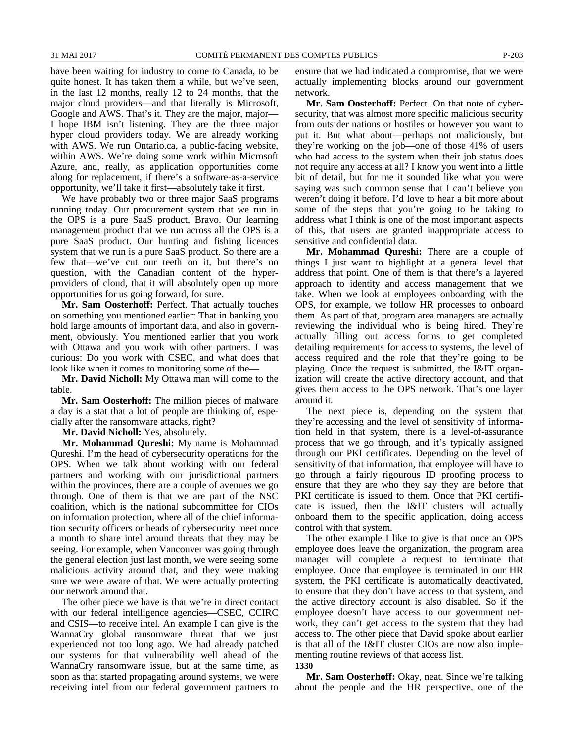have been waiting for industry to come to Canada, to be quite honest. It has taken them a while, but we've seen, in the last 12 months, really 12 to 24 months, that the major cloud providers—and that literally is Microsoft, Google and AWS. That's it. They are the major, major— I hope IBM isn't listening. They are the three major hyper cloud providers today. We are already working with AWS. We run Ontario.ca, a public-facing website, within AWS. We're doing some work within Microsoft Azure, and, really, as application opportunities come along for replacement, if there's a software-as-a-service opportunity, we'll take it first—absolutely take it first.

We have probably two or three major SaaS programs running today. Our procurement system that we run in the OPS is a pure SaaS product, Bravo. Our learning management product that we run across all the OPS is a pure SaaS product. Our hunting and fishing licences system that we run is a pure SaaS product. So there are a few that—we've cut our teeth on it, but there's no question, with the Canadian content of the hyperproviders of cloud, that it will absolutely open up more opportunities for us going forward, for sure.

**Mr. Sam Oosterhoff:** Perfect. That actually touches on something you mentioned earlier: That in banking you hold large amounts of important data, and also in government, obviously. You mentioned earlier that you work with Ottawa and you work with other partners. I was curious: Do you work with CSEC, and what does that look like when it comes to monitoring some of the—

**Mr. David Nicholl:** My Ottawa man will come to the table.

**Mr. Sam Oosterhoff:** The million pieces of malware a day is a stat that a lot of people are thinking of, especially after the ransomware attacks, right?

**Mr. David Nicholl:** Yes, absolutely.

**Mr. Mohammad Qureshi:** My name is Mohammad Qureshi. I'm the head of cybersecurity operations for the OPS. When we talk about working with our federal partners and working with our jurisdictional partners within the provinces, there are a couple of avenues we go through. One of them is that we are part of the NSC coalition, which is the national subcommittee for CIOs on information protection, where all of the chief information security officers or heads of cybersecurity meet once a month to share intel around threats that they may be seeing. For example, when Vancouver was going through the general election just last month, we were seeing some malicious activity around that, and they were making sure we were aware of that. We were actually protecting our network around that.

The other piece we have is that we're in direct contact with our federal intelligence agencies—CSEC, CCIRC and CSIS—to receive intel. An example I can give is the WannaCry global ransomware threat that we just experienced not too long ago. We had already patched our systems for that vulnerability well ahead of the WannaCry ransomware issue, but at the same time, as soon as that started propagating around systems, we were receiving intel from our federal government partners to ensure that we had indicated a compromise, that we were actually implementing blocks around our government network.

**Mr. Sam Oosterhoff:** Perfect. On that note of cybersecurity, that was almost more specific malicious security from outsider nations or hostiles or however you want to put it. But what about—perhaps not maliciously, but they're working on the job—one of those 41% of users who had access to the system when their job status does not require any access at all? I know you went into a little bit of detail, but for me it sounded like what you were saying was such common sense that I can't believe you weren't doing it before. I'd love to hear a bit more about some of the steps that you're going to be taking to address what I think is one of the most important aspects of this, that users are granted inappropriate access to sensitive and confidential data.

**Mr. Mohammad Qureshi:** There are a couple of things I just want to highlight at a general level that address that point. One of them is that there's a layered approach to identity and access management that we take. When we look at employees onboarding with the OPS, for example, we follow HR processes to onboard them. As part of that, program area managers are actually reviewing the individual who is being hired. They're actually filling out access forms to get completed detailing requirements for access to systems, the level of access required and the role that they're going to be playing. Once the request is submitted, the I&IT organization will create the active directory account, and that gives them access to the OPS network. That's one layer around it.

The next piece is, depending on the system that they're accessing and the level of sensitivity of information held in that system, there is a level-of-assurance process that we go through, and it's typically assigned through our PKI certificates. Depending on the level of sensitivity of that information, that employee will have to go through a fairly rigourous ID proofing process to ensure that they are who they say they are before that PKI certificate is issued to them. Once that PKI certificate is issued, then the I&IT clusters will actually onboard them to the specific application, doing access control with that system.

The other example I like to give is that once an OPS employee does leave the organization, the program area manager will complete a request to terminate that employee. Once that employee is terminated in our HR system, the PKI certificate is automatically deactivated, to ensure that they don't have access to that system, and the active directory account is also disabled. So if the employee doesn't have access to our government network, they can't get access to the system that they had access to. The other piece that David spoke about earlier is that all of the I&IT cluster CIOs are now also implementing routine reviews of that access list. **1330**

**Mr. Sam Oosterhoff:** Okay, neat. Since we're talking about the people and the HR perspective, one of the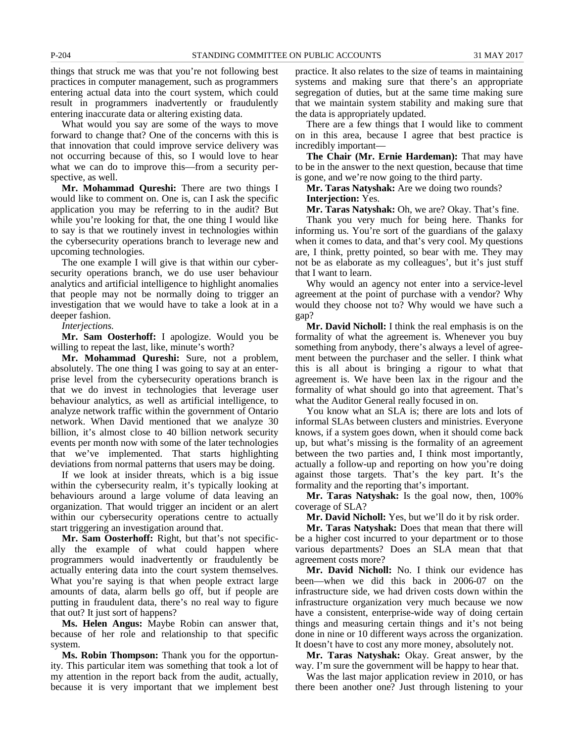things that struck me was that you're not following best practices in computer management, such as programmers entering actual data into the court system, which could result in programmers inadvertently or fraudulently entering inaccurate data or altering existing data.

What would you say are some of the ways to move forward to change that? One of the concerns with this is that innovation that could improve service delivery was not occurring because of this, so I would love to hear what we can do to improve this—from a security perspective, as well.

**Mr. Mohammad Qureshi:** There are two things I would like to comment on. One is, can I ask the specific application you may be referring to in the audit? But while you're looking for that, the one thing I would like to say is that we routinely invest in technologies within the cybersecurity operations branch to leverage new and upcoming technologies.

The one example I will give is that within our cybersecurity operations branch, we do use user behaviour analytics and artificial intelligence to highlight anomalies that people may not be normally doing to trigger an investigation that we would have to take a look at in a deeper fashion.

*Interjections.*

**Mr. Sam Oosterhoff:** I apologize. Would you be willing to repeat the last, like, minute's worth?

**Mr. Mohammad Qureshi:** Sure, not a problem, absolutely. The one thing I was going to say at an enterprise level from the cybersecurity operations branch is that we do invest in technologies that leverage user behaviour analytics, as well as artificial intelligence, to analyze network traffic within the government of Ontario network. When David mentioned that we analyze 30 billion, it's almost close to 40 billion network security events per month now with some of the later technologies that we've implemented. That starts highlighting deviations from normal patterns that users may be doing.

If we look at insider threats, which is a big issue within the cybersecurity realm, it's typically looking at behaviours around a large volume of data leaving an organization. That would trigger an incident or an alert within our cybersecurity operations centre to actually start triggering an investigation around that.

**Mr. Sam Oosterhoff:** Right, but that's not specifically the example of what could happen where programmers would inadvertently or fraudulently be actually entering data into the court system themselves. What you're saying is that when people extract large amounts of data, alarm bells go off, but if people are putting in fraudulent data, there's no real way to figure that out? It just sort of happens?

**Ms. Helen Angus:** Maybe Robin can answer that, because of her role and relationship to that specific system.

**Ms. Robin Thompson:** Thank you for the opportunity. This particular item was something that took a lot of my attention in the report back from the audit, actually, because it is very important that we implement best

practice. It also relates to the size of teams in maintaining systems and making sure that there's an appropriate segregation of duties, but at the same time making sure that we maintain system stability and making sure that the data is appropriately updated.

There are a few things that I would like to comment on in this area, because I agree that best practice is incredibly important—

**The Chair (Mr. Ernie Hardeman):** That may have to be in the answer to the next question, because that time is gone, and we're now going to the third party.

**Mr. Taras Natyshak:** Are we doing two rounds? **Interjection:** Yes.

**Mr. Taras Natyshak:** Oh, we are? Okay. That's fine.

Thank you very much for being here. Thanks for informing us. You're sort of the guardians of the galaxy when it comes to data, and that's very cool. My questions are, I think, pretty pointed, so bear with me. They may not be as elaborate as my colleagues', but it's just stuff that I want to learn.

Why would an agency not enter into a service-level agreement at the point of purchase with a vendor? Why would they choose not to? Why would we have such a gap?

**Mr. David Nicholl:** I think the real emphasis is on the formality of what the agreement is. Whenever you buy something from anybody, there's always a level of agreement between the purchaser and the seller. I think what this is all about is bringing a rigour to what that agreement is. We have been lax in the rigour and the formality of what should go into that agreement. That's what the Auditor General really focused in on.

You know what an SLA is; there are lots and lots of informal SLAs between clusters and ministries. Everyone knows, if a system goes down, when it should come back up, but what's missing is the formality of an agreement between the two parties and, I think most importantly, actually a follow-up and reporting on how you're doing against those targets. That's the key part. It's the formality and the reporting that's important.

**Mr. Taras Natyshak:** Is the goal now, then, 100% coverage of SLA?

**Mr. David Nicholl:** Yes, but we'll do it by risk order.

**Mr. Taras Natyshak:** Does that mean that there will be a higher cost incurred to your department or to those various departments? Does an SLA mean that that agreement costs more?

**Mr. David Nicholl:** No. I think our evidence has been—when we did this back in 2006-07 on the infrastructure side, we had driven costs down within the infrastructure organization very much because we now have a consistent, enterprise-wide way of doing certain things and measuring certain things and it's not being done in nine or 10 different ways across the organization. It doesn't have to cost any more money, absolutely not.

**Mr. Taras Natyshak:** Okay. Great answer, by the way. I'm sure the government will be happy to hear that.

Was the last major application review in 2010, or has there been another one? Just through listening to your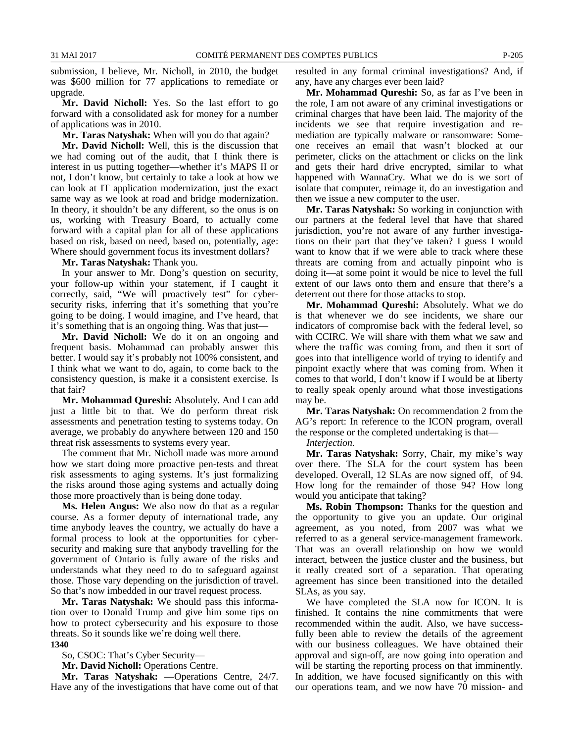submission, I believe, Mr. Nicholl, in 2010, the budget was \$600 million for 77 applications to remediate or upgrade.

**Mr. David Nicholl:** Yes. So the last effort to go forward with a consolidated ask for money for a number of applications was in 2010.

**Mr. Taras Natyshak:** When will you do that again?

**Mr. David Nicholl:** Well, this is the discussion that we had coming out of the audit, that I think there is interest in us putting together—whether it's MAPS II or not, I don't know, but certainly to take a look at how we can look at IT application modernization, just the exact same way as we look at road and bridge modernization. In theory, it shouldn't be any different, so the onus is on us, working with Treasury Board, to actually come forward with a capital plan for all of these applications based on risk, based on need, based on, potentially, age: Where should government focus its investment dollars?

**Mr. Taras Natyshak:** Thank you.

In your answer to Mr. Dong's question on security, your follow-up within your statement, if I caught it correctly, said, "We will proactively test" for cybersecurity risks, inferring that it's something that you're going to be doing. I would imagine, and I've heard, that it's something that is an ongoing thing. Was that just—

**Mr. David Nicholl:** We do it on an ongoing and frequent basis. Mohammad can probably answer this better. I would say it's probably not 100% consistent, and I think what we want to do, again, to come back to the consistency question, is make it a consistent exercise. Is that fair?

**Mr. Mohammad Qureshi:** Absolutely. And I can add just a little bit to that. We do perform threat risk assessments and penetration testing to systems today. On average, we probably do anywhere between 120 and 150 threat risk assessments to systems every year.

The comment that Mr. Nicholl made was more around how we start doing more proactive pen-tests and threat risk assessments to aging systems. It's just formalizing the risks around those aging systems and actually doing those more proactively than is being done today.

**Ms. Helen Angus:** We also now do that as a regular course. As a former deputy of international trade, any time anybody leaves the country, we actually do have a formal process to look at the opportunities for cybersecurity and making sure that anybody travelling for the government of Ontario is fully aware of the risks and understands what they need to do to safeguard against those. Those vary depending on the jurisdiction of travel. So that's now imbedded in our travel request process.

**Mr. Taras Natyshak:** We should pass this information over to Donald Trump and give him some tips on how to protect cybersecurity and his exposure to those threats. So it sounds like we're doing well there. **1340**

So, CSOC: That's Cyber Security—

**Mr. David Nicholl:** Operations Centre.

**Mr. Taras Natyshak:** —Operations Centre, 24/7. Have any of the investigations that have come out of that resulted in any formal criminal investigations? And, if any, have any charges ever been laid?

**Mr. Mohammad Qureshi:** So, as far as I've been in the role, I am not aware of any criminal investigations or criminal charges that have been laid. The majority of the incidents we see that require investigation and remediation are typically malware or ransomware: Someone receives an email that wasn't blocked at our perimeter, clicks on the attachment or clicks on the link and gets their hard drive encrypted, similar to what happened with WannaCry. What we do is we sort of isolate that computer, reimage it, do an investigation and then we issue a new computer to the user.

**Mr. Taras Natyshak:** So working in conjunction with our partners at the federal level that have that shared jurisdiction, you're not aware of any further investigations on their part that they've taken? I guess I would want to know that if we were able to track where these threats are coming from and actually pinpoint who is doing it—at some point it would be nice to level the full extent of our laws onto them and ensure that there's a deterrent out there for those attacks to stop.

**Mr. Mohammad Qureshi:** Absolutely. What we do is that whenever we do see incidents, we share our indicators of compromise back with the federal level, so with CCIRC. We will share with them what we saw and where the traffic was coming from, and then it sort of goes into that intelligence world of trying to identify and pinpoint exactly where that was coming from. When it comes to that world, I don't know if I would be at liberty to really speak openly around what those investigations may be.

**Mr. Taras Natyshak:** On recommendation 2 from the AG's report: In reference to the ICON program, overall the response or the completed undertaking is that—

*Interjection.*

**Mr. Taras Natyshak:** Sorry, Chair, my mike's way over there. The SLA for the court system has been developed. Overall, 12 SLAs are now signed off, of 94. How long for the remainder of those 94? How long would you anticipate that taking?

**Ms. Robin Thompson:** Thanks for the question and the opportunity to give you an update. Our original agreement, as you noted, from 2007 was what we referred to as a general service-management framework. That was an overall relationship on how we would interact, between the justice cluster and the business, but it really created sort of a separation. That operating agreement has since been transitioned into the detailed SLAs, as you say.

We have completed the SLA now for ICON. It is finished. It contains the nine commitments that were recommended within the audit. Also, we have successfully been able to review the details of the agreement with our business colleagues. We have obtained their approval and sign-off, are now going into operation and will be starting the reporting process on that imminently. In addition, we have focused significantly on this with our operations team, and we now have 70 mission- and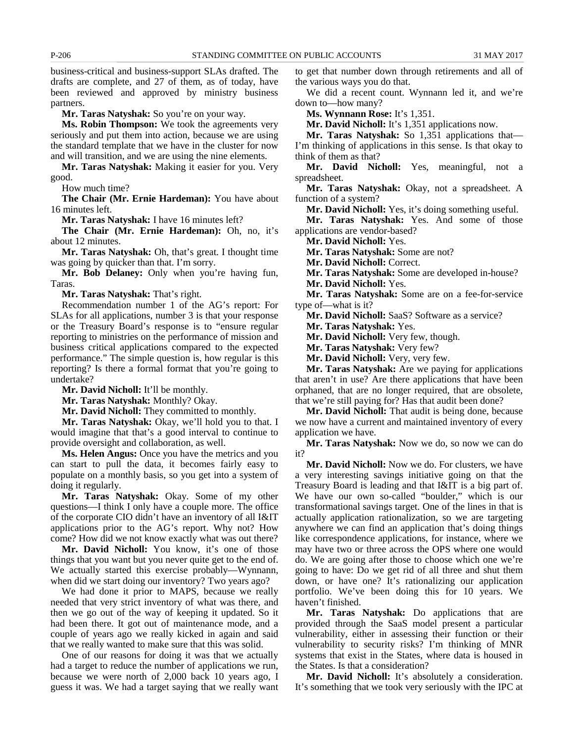business-critical and business-support SLAs drafted. The drafts are complete, and 27 of them, as of today, have been reviewed and approved by ministry business partners.

**Mr. Taras Natyshak:** So you're on your way.

**Ms. Robin Thompson:** We took the agreements very seriously and put them into action, because we are using the standard template that we have in the cluster for now and will transition, and we are using the nine elements.

**Mr. Taras Natyshak:** Making it easier for you. Very good.

How much time?

**The Chair (Mr. Ernie Hardeman):** You have about 16 minutes left.

**Mr. Taras Natyshak:** I have 16 minutes left?

**The Chair (Mr. Ernie Hardeman):** Oh, no, it's about 12 minutes.

**Mr. Taras Natyshak:** Oh, that's great. I thought time was going by quicker than that. I'm sorry.

**Mr. Bob Delaney:** Only when you're having fun, Taras.

**Mr. Taras Natyshak:** That's right.

Recommendation number 1 of the AG's report: For SLAs for all applications, number 3 is that your response or the Treasury Board's response is to "ensure regular reporting to ministries on the performance of mission and business critical applications compared to the expected performance." The simple question is, how regular is this reporting? Is there a formal format that you're going to undertake?

**Mr. David Nicholl:** It'll be monthly.

**Mr. Taras Natyshak:** Monthly? Okay.

**Mr. David Nicholl:** They committed to monthly.

**Mr. Taras Natyshak:** Okay, we'll hold you to that. I would imagine that that's a good interval to continue to provide oversight and collaboration, as well.

**Ms. Helen Angus:** Once you have the metrics and you can start to pull the data, it becomes fairly easy to populate on a monthly basis, so you get into a system of doing it regularly.

**Mr. Taras Natyshak:** Okay. Some of my other questions—I think I only have a couple more. The office of the corporate CIO didn't have an inventory of all I&IT applications prior to the AG's report. Why not? How come? How did we not know exactly what was out there?

**Mr. David Nicholl:** You know, it's one of those things that you want but you never quite get to the end of. We actually started this exercise probably—Wynnann, when did we start doing our inventory? Two years ago?

We had done it prior to MAPS, because we really needed that very strict inventory of what was there, and then we go out of the way of keeping it updated. So it had been there. It got out of maintenance mode, and a couple of years ago we really kicked in again and said that we really wanted to make sure that this was solid.

One of our reasons for doing it was that we actually had a target to reduce the number of applications we run, because we were north of 2,000 back 10 years ago, I guess it was. We had a target saying that we really want to get that number down through retirements and all of the various ways you do that.

We did a recent count. Wynnann led it, and we're down to—how many?

**Ms. Wynnann Rose:** It's 1,351.

**Mr. David Nicholl:** It's 1,351 applications now.

**Mr. Taras Natyshak:** So 1,351 applications that— I'm thinking of applications in this sense. Is that okay to think of them as that?

**Mr. David Nicholl:** Yes, meaningful, not a spreadsheet.

**Mr. Taras Natyshak:** Okay, not a spreadsheet. A function of a system?

**Mr. David Nicholl:** Yes, it's doing something useful.

**Mr. Taras Natyshak:** Yes. And some of those applications are vendor-based?

**Mr. David Nicholl:** Yes.

**Mr. Taras Natyshak:** Some are not?

**Mr. David Nicholl:** Correct.

**Mr. Taras Natyshak:** Some are developed in-house?

**Mr. David Nicholl:** Yes.

**Mr. Taras Natyshak:** Some are on a fee-for-service type of—what is it?

**Mr. David Nicholl:** SaaS? Software as a service?

**Mr. Taras Natyshak:** Yes.

**Mr. David Nicholl:** Very few, though.

**Mr. Taras Natyshak:** Very few?

**Mr. David Nicholl:** Very, very few.

**Mr. Taras Natyshak:** Are we paying for applications that aren't in use? Are there applications that have been orphaned, that are no longer required, that are obsolete, that we're still paying for? Has that audit been done?

**Mr. David Nicholl:** That audit is being done, because we now have a current and maintained inventory of every application we have.

**Mr. Taras Natyshak:** Now we do, so now we can do it?

**Mr. David Nicholl:** Now we do. For clusters, we have a very interesting savings initiative going on that the Treasury Board is leading and that I&IT is a big part of. We have our own so-called "boulder," which is our transformational savings target. One of the lines in that is actually application rationalization, so we are targeting anywhere we can find an application that's doing things like correspondence applications, for instance, where we may have two or three across the OPS where one would do. We are going after those to choose which one we're going to have: Do we get rid of all three and shut them down, or have one? It's rationalizing our application portfolio. We've been doing this for 10 years. We haven't finished.

**Mr. Taras Natyshak:** Do applications that are provided through the SaaS model present a particular vulnerability, either in assessing their function or their vulnerability to security risks? I'm thinking of MNR systems that exist in the States, where data is housed in the States. Is that a consideration?

**Mr. David Nicholl:** It's absolutely a consideration. It's something that we took very seriously with the IPC at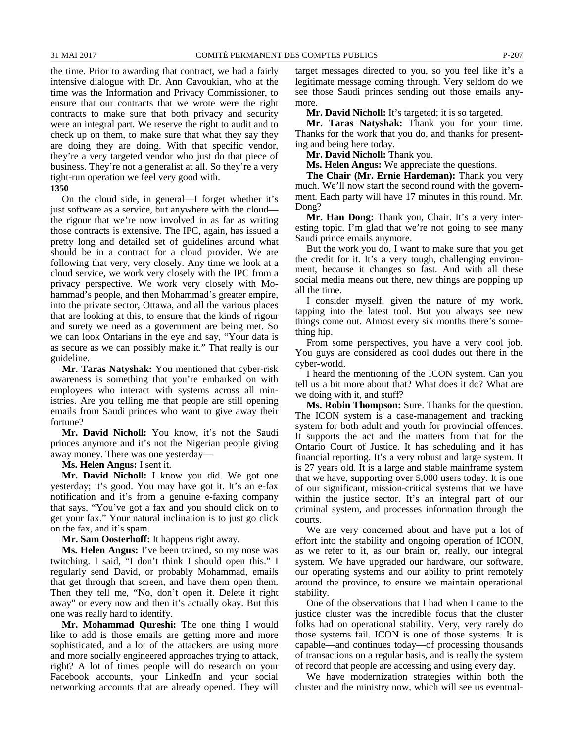the time. Prior to awarding that contract, we had a fairly intensive dialogue with Dr. Ann Cavoukian, who at the time was the Information and Privacy Commissioner, to ensure that our contracts that we wrote were the right contracts to make sure that both privacy and security were an integral part. We reserve the right to audit and to check up on them, to make sure that what they say they are doing they are doing. With that specific vendor, they're a very targeted vendor who just do that piece of business. They're not a generalist at all. So they're a very tight-run operation we feel very good with.

**1350**

On the cloud side, in general—I forget whether it's just software as a service, but anywhere with the cloud the rigour that we're now involved in as far as writing those contracts is extensive. The IPC, again, has issued a pretty long and detailed set of guidelines around what should be in a contract for a cloud provider. We are following that very, very closely. Any time we look at a cloud service, we work very closely with the IPC from a privacy perspective. We work very closely with Mohammad's people, and then Mohammad's greater empire, into the private sector, Ottawa, and all the various places that are looking at this, to ensure that the kinds of rigour and surety we need as a government are being met. So we can look Ontarians in the eye and say, "Your data is as secure as we can possibly make it." That really is our guideline.

**Mr. Taras Natyshak:** You mentioned that cyber-risk awareness is something that you're embarked on with employees who interact with systems across all ministries. Are you telling me that people are still opening emails from Saudi princes who want to give away their fortune?

**Mr. David Nicholl:** You know, it's not the Saudi princes anymore and it's not the Nigerian people giving away money. There was one yesterday—

**Ms. Helen Angus:** I sent it.

**Mr. David Nicholl:** I know you did. We got one yesterday; it's good. You may have got it. It's an e-fax notification and it's from a genuine e-faxing company that says, "You've got a fax and you should click on to get your fax." Your natural inclination is to just go click on the fax, and it's spam.

**Mr. Sam Oosterhoff:** It happens right away.

**Ms. Helen Angus:** I've been trained, so my nose was twitching. I said, "I don't think I should open this." I regularly send David, or probably Mohammad, emails that get through that screen, and have them open them. Then they tell me, "No, don't open it. Delete it right away" or every now and then it's actually okay. But this one was really hard to identify.

**Mr. Mohammad Qureshi:** The one thing I would like to add is those emails are getting more and more sophisticated, and a lot of the attackers are using more and more socially engineered approaches trying to attack, right? A lot of times people will do research on your Facebook accounts, your LinkedIn and your social networking accounts that are already opened. They will target messages directed to you, so you feel like it's a legitimate message coming through. Very seldom do we see those Saudi princes sending out those emails anymore.

**Mr. David Nicholl:** It's targeted; it is so targeted.

**Mr. Taras Natyshak:** Thank you for your time. Thanks for the work that you do, and thanks for presenting and being here today.

**Mr. David Nicholl:** Thank you.

**Ms. Helen Angus:** We appreciate the questions.

**The Chair (Mr. Ernie Hardeman):** Thank you very much. We'll now start the second round with the government. Each party will have 17 minutes in this round. Mr. Dong?

**Mr. Han Dong:** Thank you, Chair. It's a very interesting topic. I'm glad that we're not going to see many Saudi prince emails anymore.

But the work you do, I want to make sure that you get the credit for it. It's a very tough, challenging environment, because it changes so fast. And with all these social media means out there, new things are popping up all the time.

I consider myself, given the nature of my work, tapping into the latest tool. But you always see new things come out. Almost every six months there's something hip.

From some perspectives, you have a very cool job. You guys are considered as cool dudes out there in the cyber-world.

I heard the mentioning of the ICON system. Can you tell us a bit more about that? What does it do? What are we doing with it, and stuff?

**Ms. Robin Thompson:** Sure. Thanks for the question. The ICON system is a case-management and tracking system for both adult and youth for provincial offences. It supports the act and the matters from that for the Ontario Court of Justice. It has scheduling and it has financial reporting. It's a very robust and large system. It is 27 years old. It is a large and stable mainframe system that we have, supporting over 5,000 users today. It is one of our significant, mission-critical systems that we have within the justice sector. It's an integral part of our criminal system, and processes information through the courts.

We are very concerned about and have put a lot of effort into the stability and ongoing operation of ICON, as we refer to it, as our brain or, really, our integral system. We have upgraded our hardware, our software, our operating systems and our ability to print remotely around the province, to ensure we maintain operational stability.

One of the observations that I had when I came to the justice cluster was the incredible focus that the cluster folks had on operational stability. Very, very rarely do those systems fail. ICON is one of those systems. It is capable—and continues today—of processing thousands of transactions on a regular basis, and is really the system of record that people are accessing and using every day.

We have modernization strategies within both the cluster and the ministry now, which will see us eventual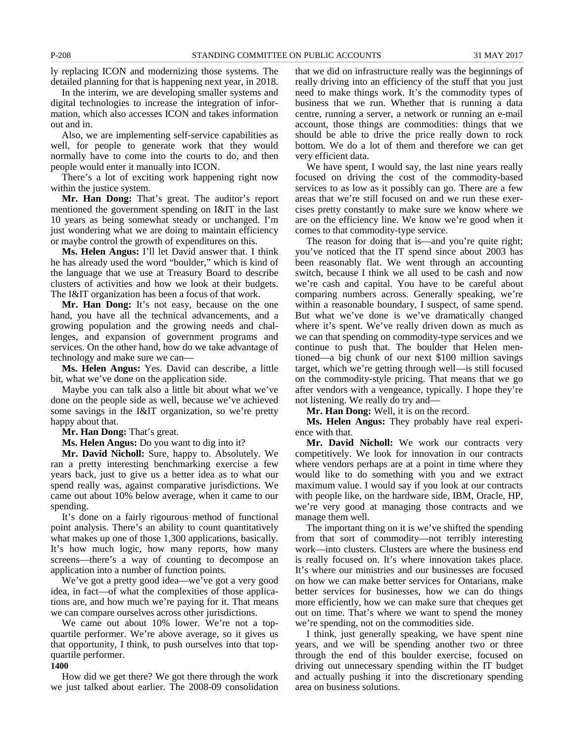ly replacing ICON and modernizing those systems. The detailed planning for that is happening next year, in 2018.

In the interim, we are developing smaller systems and digital technologies to increase the integration of information, which also accesses ICON and takes information out and in.

Also, we are implementing self-service capabilities as well, for people to generate work that they would normally have to come into the courts to do, and then people would enter it manually into ICON.

There's a lot of exciting work happening right now within the justice system.

**Mr. Han Dong:** That's great. The auditor's report mentioned the government spending on I&IT in the last 10 years as being somewhat steady or unchanged. I'm just wondering what we are doing to maintain efficiency or maybe control the growth of expenditures on this.

**Ms. Helen Angus:** I'll let David answer that. I think he has already used the word "boulder," which is kind of the language that we use at Treasury Board to describe clusters of activities and how we look at their budgets. The I&IT organization has been a focus of that work.

**Mr. Han Dong:** It's not easy, because on the one hand, you have all the technical advancements, and a growing population and the growing needs and challenges, and expansion of government programs and services. On the other hand, how do we take advantage of technology and make sure we can—

**Ms. Helen Angus:** Yes. David can describe, a little bit, what we've done on the application side.

Maybe you can talk also a little bit about what we've done on the people side as well, because we've achieved some savings in the I&IT organization, so we're pretty happy about that.

**Mr. Han Dong:** That's great.

**Ms. Helen Angus:** Do you want to dig into it?

**Mr. David Nicholl:** Sure, happy to. Absolutely. We ran a pretty interesting benchmarking exercise a few years back, just to give us a better idea as to what our spend really was, against comparative jurisdictions. We came out about 10% below average, when it came to our spending.

It's done on a fairly rigourous method of functional point analysis. There's an ability to count quantitatively what makes up one of those 1,300 applications, basically. It's how much logic, how many reports, how many screens—there's a way of counting to decompose an application into a number of function points.

We've got a pretty good idea—we've got a very good idea, in fact—of what the complexities of those applications are, and how much we're paying for it. That means we can compare ourselves across other jurisdictions.

We came out about 10% lower. We're not a topquartile performer. We're above average, so it gives us that opportunity, I think, to push ourselves into that topquartile performer.

### **1400**

How did we get there? We got there through the work we just talked about earlier. The 2008-09 consolidation that we did on infrastructure really was the beginnings of really driving into an efficiency of the stuff that you just need to make things work. It's the commodity types of business that we run. Whether that is running a data centre, running a server, a network or running an e-mail account, those things are commodities: things that we should be able to drive the price really down to rock bottom. We do a lot of them and therefore we can get very efficient data.

We have spent, I would say, the last nine years really focused on driving the cost of the commodity-based services to as low as it possibly can go. There are a few areas that we're still focused on and we run these exercises pretty constantly to make sure we know where we are on the efficiency line. We know we're good when it comes to that commodity-type service.

The reason for doing that is—and you're quite right; you've noticed that the IT spend since about 2003 has been reasonably flat. We went through an accounting switch, because I think we all used to be cash and now we're cash and capital. You have to be careful about comparing numbers across. Generally speaking, we're within a reasonable boundary, I suspect, of same spend. But what we've done is we've dramatically changed where it's spent. We've really driven down as much as we can that spending on commodity-type services and we continue to push that. The boulder that Helen mentioned—a big chunk of our next \$100 million savings target, which we're getting through well—is still focused on the commodity-style pricing. That means that we go after vendors with a vengeance, typically. I hope they're not listening. We really do try and—

**Mr. Han Dong:** Well, it is on the record.

**Ms. Helen Angus:** They probably have real experience with that.

**Mr. David Nicholl:** We work our contracts very competitively. We look for innovation in our contracts where vendors perhaps are at a point in time where they would like to do something with you and we extract maximum value. I would say if you look at our contracts with people like, on the hardware side, IBM, Oracle, HP, we're very good at managing those contracts and we manage them well.

The important thing on it is we've shifted the spending from that sort of commodity—not terribly interesting work—into clusters. Clusters are where the business end is really focused on. It's where innovation takes place. It's where our ministries and our businesses are focused on how we can make better services for Ontarians, make better services for businesses, how we can do things more efficiently, how we can make sure that cheques get out on time. That's where we want to spend the money we're spending, not on the commodities side.

I think, just generally speaking, we have spent nine years, and we will be spending another two or three through the end of this boulder exercise, focused on driving out unnecessary spending within the IT budget and actually pushing it into the discretionary spending area on business solutions.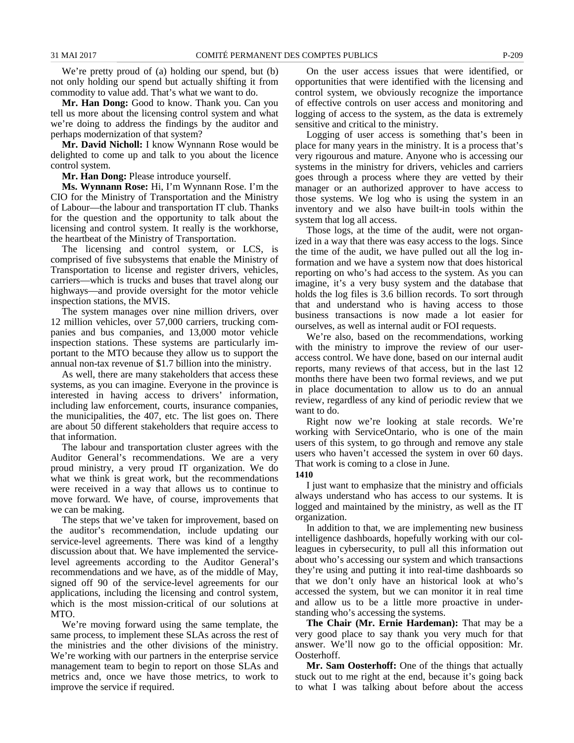We're pretty proud of (a) holding our spend, but (b) not only holding our spend but actually shifting it from commodity to value add. That's what we want to do.

**Mr. Han Dong:** Good to know. Thank you. Can you tell us more about the licensing control system and what we're doing to address the findings by the auditor and perhaps modernization of that system?

**Mr. David Nicholl:** I know Wynnann Rose would be delighted to come up and talk to you about the licence control system.

**Mr. Han Dong:** Please introduce yourself.

**Ms. Wynnann Rose:** Hi, I'm Wynnann Rose. I'm the CIO for the Ministry of Transportation and the Ministry of Labour—the labour and transportation IT club. Thanks for the question and the opportunity to talk about the licensing and control system. It really is the workhorse, the heartbeat of the Ministry of Transportation.

The licensing and control system, or LCS, is comprised of five subsystems that enable the Ministry of Transportation to license and register drivers, vehicles, carriers—which is trucks and buses that travel along our highways—and provide oversight for the motor vehicle inspection stations, the MVIS.

The system manages over nine million drivers, over 12 million vehicles, over 57,000 carriers, trucking companies and bus companies, and 13,000 motor vehicle inspection stations. These systems are particularly important to the MTO because they allow us to support the annual non-tax revenue of \$1.7 billion into the ministry.

As well, there are many stakeholders that access these systems, as you can imagine. Everyone in the province is interested in having access to drivers' information, including law enforcement, courts, insurance companies, the municipalities, the 407, etc. The list goes on. There are about 50 different stakeholders that require access to that information.

The labour and transportation cluster agrees with the Auditor General's recommendations. We are a very proud ministry, a very proud IT organization. We do what we think is great work, but the recommendations were received in a way that allows us to continue to move forward. We have, of course, improvements that we can be making.

The steps that we've taken for improvement, based on the auditor's recommendation, include updating our service-level agreements. There was kind of a lengthy discussion about that. We have implemented the servicelevel agreements according to the Auditor General's recommendations and we have, as of the middle of May, signed off 90 of the service-level agreements for our applications, including the licensing and control system, which is the most mission-critical of our solutions at MTO.

We're moving forward using the same template, the same process, to implement these SLAs across the rest of the ministries and the other divisions of the ministry. We're working with our partners in the enterprise service management team to begin to report on those SLAs and metrics and, once we have those metrics, to work to improve the service if required.

On the user access issues that were identified, or opportunities that were identified with the licensing and control system, we obviously recognize the importance of effective controls on user access and monitoring and logging of access to the system, as the data is extremely sensitive and critical to the ministry.

Logging of user access is something that's been in place for many years in the ministry. It is a process that's very rigourous and mature. Anyone who is accessing our systems in the ministry for drivers, vehicles and carriers goes through a process where they are vetted by their manager or an authorized approver to have access to those systems. We log who is using the system in an inventory and we also have built-in tools within the system that log all access.

Those logs, at the time of the audit, were not organized in a way that there was easy access to the logs. Since the time of the audit, we have pulled out all the log information and we have a system now that does historical reporting on who's had access to the system. As you can imagine, it's a very busy system and the database that holds the log files is 3.6 billion records. To sort through that and understand who is having access to those business transactions is now made a lot easier for ourselves, as well as internal audit or FOI requests.

We're also, based on the recommendations, working with the ministry to improve the review of our useraccess control. We have done, based on our internal audit reports, many reviews of that access, but in the last 12 months there have been two formal reviews, and we put in place documentation to allow us to do an annual review, regardless of any kind of periodic review that we want to do.

Right now we're looking at stale records. We're working with ServiceOntario, who is one of the main users of this system, to go through and remove any stale users who haven't accessed the system in over 60 days. That work is coming to a close in June.

**1410**

I just want to emphasize that the ministry and officials always understand who has access to our systems. It is logged and maintained by the ministry, as well as the IT organization.

In addition to that, we are implementing new business intelligence dashboards, hopefully working with our colleagues in cybersecurity, to pull all this information out about who's accessing our system and which transactions they're using and putting it into real-time dashboards so that we don't only have an historical look at who's accessed the system, but we can monitor it in real time and allow us to be a little more proactive in understanding who's accessing the systems.

**The Chair (Mr. Ernie Hardeman):** That may be a very good place to say thank you very much for that answer. We'll now go to the official opposition: Mr. Oosterhoff.

**Mr. Sam Oosterhoff:** One of the things that actually stuck out to me right at the end, because it's going back to what I was talking about before about the access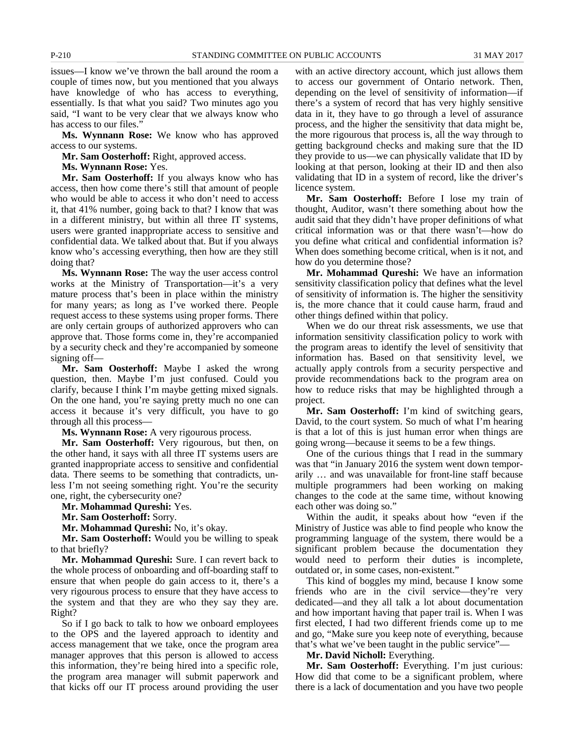issues—I know we've thrown the ball around the room a couple of times now, but you mentioned that you always have knowledge of who has access to everything, essentially. Is that what you said? Two minutes ago you said, "I want to be very clear that we always know who has access to our files.'

**Ms. Wynnann Rose:** We know who has approved access to our systems.

**Mr. Sam Oosterhoff:** Right, approved access.

**Ms. Wynnann Rose:** Yes.

**Mr. Sam Oosterhoff:** If you always know who has access, then how come there's still that amount of people who would be able to access it who don't need to access it, that 41% number, going back to that? I know that was in a different ministry, but within all three IT systems, users were granted inappropriate access to sensitive and confidential data. We talked about that. But if you always know who's accessing everything, then how are they still doing that?

**Ms. Wynnann Rose:** The way the user access control works at the Ministry of Transportation—it's a very mature process that's been in place within the ministry for many years; as long as I've worked there. People request access to these systems using proper forms. There are only certain groups of authorized approvers who can approve that. Those forms come in, they're accompanied by a security check and they're accompanied by someone signing off—

**Mr. Sam Oosterhoff:** Maybe I asked the wrong question, then. Maybe I'm just confused. Could you clarify, because I think I'm maybe getting mixed signals. On the one hand, you're saying pretty much no one can access it because it's very difficult, you have to go through all this process—

**Ms. Wynnann Rose:** A very rigourous process.

**Mr. Sam Oosterhoff:** Very rigourous, but then, on the other hand, it says with all three IT systems users are granted inappropriate access to sensitive and confidential data. There seems to be something that contradicts, unless I'm not seeing something right. You're the security one, right, the cybersecurity one?

**Mr. Mohammad Qureshi:** Yes.

**Mr. Sam Oosterhoff:** Sorry.

**Mr. Mohammad Qureshi:** No, it's okay.

**Mr. Sam Oosterhoff:** Would you be willing to speak to that briefly?

**Mr. Mohammad Qureshi:** Sure. I can revert back to the whole process of onboarding and off-boarding staff to ensure that when people do gain access to it, there's a very rigourous process to ensure that they have access to the system and that they are who they say they are. Right?

So if I go back to talk to how we onboard employees to the OPS and the layered approach to identity and access management that we take, once the program area manager approves that this person is allowed to access this information, they're being hired into a specific role, the program area manager will submit paperwork and that kicks off our IT process around providing the user with an active directory account, which just allows them to access our government of Ontario network. Then, depending on the level of sensitivity of information—if there's a system of record that has very highly sensitive data in it, they have to go through a level of assurance process, and the higher the sensitivity that data might be, the more rigourous that process is, all the way through to getting background checks and making sure that the ID they provide to us—we can physically validate that ID by looking at that person, looking at their ID and then also validating that ID in a system of record, like the driver's licence system.

**Mr. Sam Oosterhoff:** Before I lose my train of thought, Auditor, wasn't there something about how the audit said that they didn't have proper definitions of what critical information was or that there wasn't—how do you define what critical and confidential information is? When does something become critical, when is it not, and how do you determine those?

**Mr. Mohammad Qureshi:** We have an information sensitivity classification policy that defines what the level of sensitivity of information is. The higher the sensitivity is, the more chance that it could cause harm, fraud and other things defined within that policy.

When we do our threat risk assessments, we use that information sensitivity classification policy to work with the program areas to identify the level of sensitivity that information has. Based on that sensitivity level, we actually apply controls from a security perspective and provide recommendations back to the program area on how to reduce risks that may be highlighted through a project.

**Mr. Sam Oosterhoff:** I'm kind of switching gears, David, to the court system. So much of what I'm hearing is that a lot of this is just human error when things are going wrong—because it seems to be a few things.

One of the curious things that I read in the summary was that "in January 2016 the system went down temporarily … and was unavailable for front-line staff because multiple programmers had been working on making changes to the code at the same time, without knowing each other was doing so."

Within the audit, it speaks about how "even if the Ministry of Justice was able to find people who know the programming language of the system, there would be a significant problem because the documentation they would need to perform their duties is incomplete, outdated or, in some cases, non-existent."

This kind of boggles my mind, because I know some friends who are in the civil service—they're very dedicated—and they all talk a lot about documentation and how important having that paper trail is. When I was first elected, I had two different friends come up to me and go, "Make sure you keep note of everything, because that's what we've been taught in the public service"—

**Mr. David Nicholl:** Everything.

**Mr. Sam Oosterhoff:** Everything. I'm just curious: How did that come to be a significant problem, where there is a lack of documentation and you have two people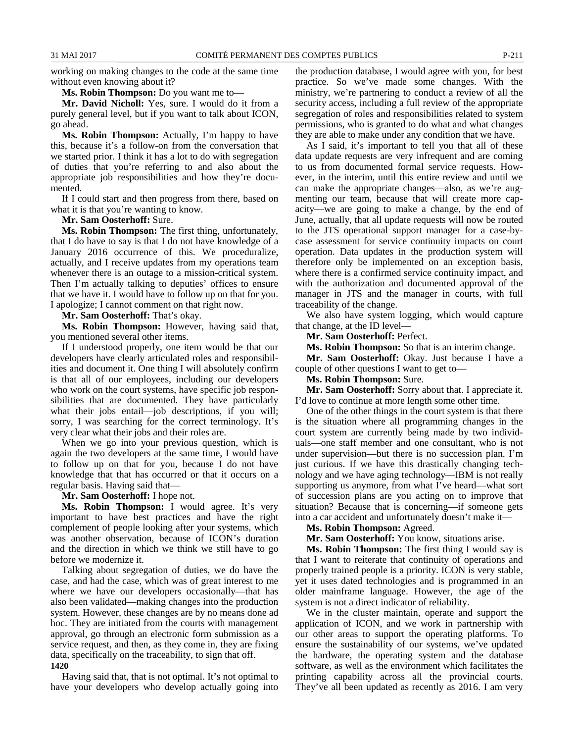working on making changes to the code at the same time without even knowing about it?

**Ms. Robin Thompson:** Do you want me to—

**Mr. David Nicholl:** Yes, sure. I would do it from a purely general level, but if you want to talk about ICON, go ahead.

**Ms. Robin Thompson:** Actually, I'm happy to have this, because it's a follow-on from the conversation that we started prior. I think it has a lot to do with segregation of duties that you're referring to and also about the appropriate job responsibilities and how they're documented.

If I could start and then progress from there, based on what it is that you're wanting to know.

**Mr. Sam Oosterhoff:** Sure.

**Ms. Robin Thompson:** The first thing, unfortunately, that I do have to say is that I do not have knowledge of a January 2016 occurrence of this. We proceduralize, actually, and I receive updates from my operations team whenever there is an outage to a mission-critical system. Then I'm actually talking to deputies' offices to ensure that we have it. I would have to follow up on that for you. I apologize; I cannot comment on that right now.

**Mr. Sam Oosterhoff:** That's okay.

**Ms. Robin Thompson:** However, having said that, you mentioned several other items.

If I understood properly, one item would be that our developers have clearly articulated roles and responsibilities and document it. One thing I will absolutely confirm is that all of our employees, including our developers who work on the court systems, have specific job responsibilities that are documented. They have particularly what their jobs entail—job descriptions, if you will; sorry, I was searching for the correct terminology. It's very clear what their jobs and their roles are.

When we go into your previous question, which is again the two developers at the same time, I would have to follow up on that for you, because I do not have knowledge that that has occurred or that it occurs on a regular basis. Having said that—

**Mr. Sam Oosterhoff:** I hope not.

**Ms. Robin Thompson:** I would agree. It's very important to have best practices and have the right complement of people looking after your systems, which was another observation, because of ICON's duration and the direction in which we think we still have to go before we modernize it.

Talking about segregation of duties, we do have the case, and had the case, which was of great interest to me where we have our developers occasionally—that has also been validated—making changes into the production system. However, these changes are by no means done ad hoc. They are initiated from the courts with management approval, go through an electronic form submission as a service request, and then, as they come in, they are fixing data, specifically on the traceability, to sign that off. **1420**

Having said that, that is not optimal. It's not optimal to have your developers who develop actually going into the production database, I would agree with you, for best practice. So we've made some changes. With the ministry, we're partnering to conduct a review of all the security access, including a full review of the appropriate segregation of roles and responsibilities related to system permissions, who is granted to do what and what changes they are able to make under any condition that we have.

As I said, it's important to tell you that all of these data update requests are very infrequent and are coming to us from documented formal service requests. However, in the interim, until this entire review and until we can make the appropriate changes—also, as we're augmenting our team, because that will create more capacity—we are going to make a change, by the end of June, actually, that all update requests will now be routed to the JTS operational support manager for a case-bycase assessment for service continuity impacts on court operation. Data updates in the production system will therefore only be implemented on an exception basis, where there is a confirmed service continuity impact, and with the authorization and documented approval of the manager in JTS and the manager in courts, with full traceability of the change.

We also have system logging, which would capture that change, at the ID level—

**Mr. Sam Oosterhoff:** Perfect.

**Ms. Robin Thompson:** So that is an interim change.

**Mr. Sam Oosterhoff:** Okay. Just because I have a couple of other questions I want to get to—

**Ms. Robin Thompson:** Sure.

**Mr. Sam Oosterhoff:** Sorry about that. I appreciate it. I'd love to continue at more length some other time.

One of the other things in the court system is that there is the situation where all programming changes in the court system are currently being made by two individuals—one staff member and one consultant, who is not under supervision—but there is no succession plan. I'm just curious. If we have this drastically changing technology and we have aging technology—IBM is not really supporting us anymore, from what I've heard—what sort of succession plans are you acting on to improve that situation? Because that is concerning—if someone gets into a car accident and unfortunately doesn't make it—

**Ms. Robin Thompson:** Agreed.

**Mr. Sam Oosterhoff:** You know, situations arise.

**Ms. Robin Thompson:** The first thing I would say is that I want to reiterate that continuity of operations and properly trained people is a priority. ICON is very stable, yet it uses dated technologies and is programmed in an older mainframe language. However, the age of the system is not a direct indicator of reliability.

We in the cluster maintain, operate and support the application of ICON, and we work in partnership with our other areas to support the operating platforms. To ensure the sustainability of our systems, we've updated the hardware, the operating system and the database software, as well as the environment which facilitates the printing capability across all the provincial courts. They've all been updated as recently as 2016. I am very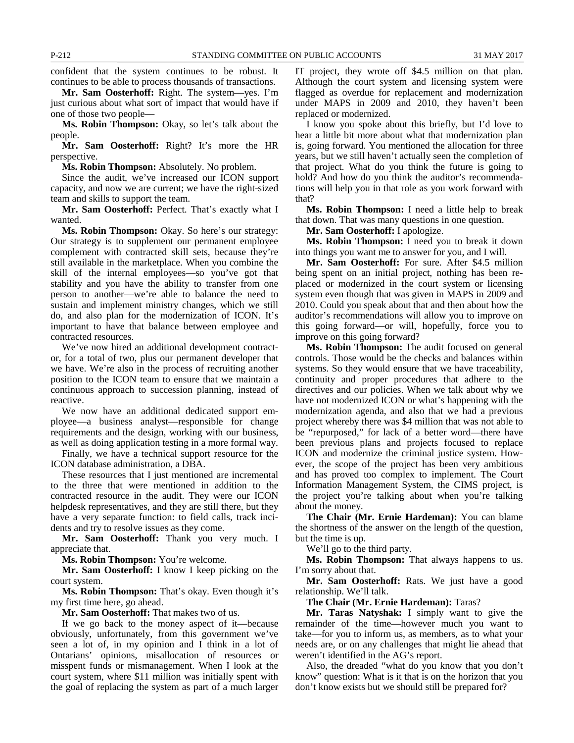confident that the system continues to be robust. It continues to be able to process thousands of transactions.

**Mr. Sam Oosterhoff:** Right. The system—yes. I'm just curious about what sort of impact that would have if one of those two people—

**Ms. Robin Thompson:** Okay, so let's talk about the people.

**Mr. Sam Oosterhoff:** Right? It's more the HR perspective.

**Ms. Robin Thompson:** Absolutely. No problem.

Since the audit, we've increased our ICON support capacity, and now we are current; we have the right-sized team and skills to support the team.

**Mr. Sam Oosterhoff:** Perfect. That's exactly what I wanted.

**Ms. Robin Thompson:** Okay. So here's our strategy: Our strategy is to supplement our permanent employee complement with contracted skill sets, because they're still available in the marketplace. When you combine the skill of the internal employees—so you've got that stability and you have the ability to transfer from one person to another—we're able to balance the need to sustain and implement ministry changes, which we still do, and also plan for the modernization of ICON. It's important to have that balance between employee and contracted resources.

We've now hired an additional development contractor, for a total of two, plus our permanent developer that we have. We're also in the process of recruiting another position to the ICON team to ensure that we maintain a continuous approach to succession planning, instead of reactive.

We now have an additional dedicated support employee—a business analyst—responsible for change requirements and the design, working with our business, as well as doing application testing in a more formal way.

Finally, we have a technical support resource for the ICON database administration, a DBA.

These resources that I just mentioned are incremental to the three that were mentioned in addition to the contracted resource in the audit. They were our ICON helpdesk representatives, and they are still there, but they have a very separate function: to field calls, track incidents and try to resolve issues as they come.

**Mr. Sam Oosterhoff:** Thank you very much. I appreciate that.

**Ms. Robin Thompson:** You're welcome.

**Mr. Sam Oosterhoff:** I know I keep picking on the court system.

**Ms. Robin Thompson:** That's okay. Even though it's my first time here, go ahead.

**Mr. Sam Oosterhoff:** That makes two of us.

If we go back to the money aspect of it—because obviously, unfortunately, from this government we've seen a lot of, in my opinion and I think in a lot of Ontarians' opinions, misallocation of resources or misspent funds or mismanagement. When I look at the court system, where \$11 million was initially spent with the goal of replacing the system as part of a much larger IT project, they wrote off \$4.5 million on that plan. Although the court system and licensing system were flagged as overdue for replacement and modernization under MAPS in 2009 and 2010, they haven't been replaced or modernized.

I know you spoke about this briefly, but I'd love to hear a little bit more about what that modernization plan is, going forward. You mentioned the allocation for three years, but we still haven't actually seen the completion of that project. What do you think the future is going to hold? And how do you think the auditor's recommendations will help you in that role as you work forward with that?

**Ms. Robin Thompson:** I need a little help to break that down. That was many questions in one question.

**Mr. Sam Oosterhoff:** I apologize.

**Ms. Robin Thompson:** I need you to break it down into things you want me to answer for you, and I will.

**Mr. Sam Oosterhoff:** For sure. After \$4.5 million being spent on an initial project, nothing has been replaced or modernized in the court system or licensing system even though that was given in MAPS in 2009 and 2010. Could you speak about that and then about how the auditor's recommendations will allow you to improve on this going forward—or will, hopefully, force you to improve on this going forward?

**Ms. Robin Thompson:** The audit focused on general controls. Those would be the checks and balances within systems. So they would ensure that we have traceability, continuity and proper procedures that adhere to the directives and our policies. When we talk about why we have not modernized ICON or what's happening with the modernization agenda, and also that we had a previous project whereby there was \$4 million that was not able to be "repurposed," for lack of a better word—there have been previous plans and projects focused to replace ICON and modernize the criminal justice system. However, the scope of the project has been very ambitious and has proved too complex to implement. The Court Information Management System, the CIMS project, is the project you're talking about when you're talking about the money.

**The Chair (Mr. Ernie Hardeman):** You can blame the shortness of the answer on the length of the question, but the time is up.

We'll go to the third party.

**Ms. Robin Thompson:** That always happens to us. I'm sorry about that.

**Mr. Sam Oosterhoff:** Rats. We just have a good relationship. We'll talk.

**The Chair (Mr. Ernie Hardeman):** Taras?

**Mr. Taras Natyshak:** I simply want to give the remainder of the time—however much you want to take—for you to inform us, as members, as to what your needs are, or on any challenges that might lie ahead that weren't identified in the AG's report.

Also, the dreaded "what do you know that you don't know" question: What is it that is on the horizon that you don't know exists but we should still be prepared for?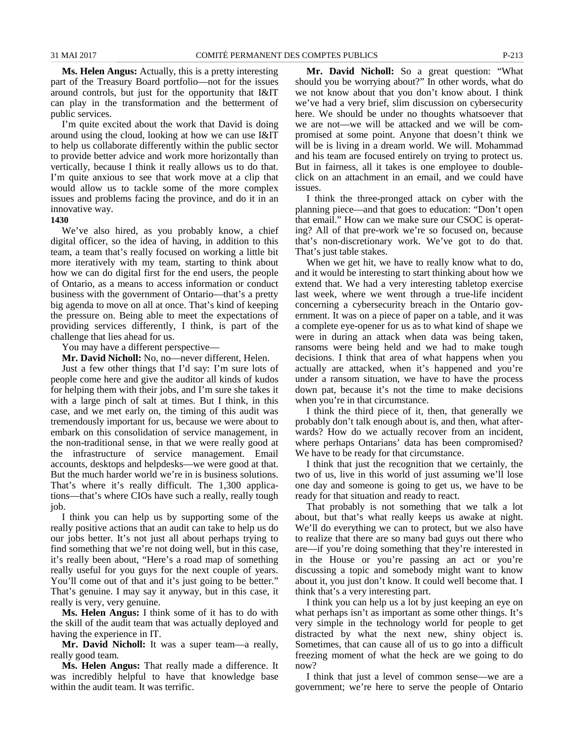**Ms. Helen Angus:** Actually, this is a pretty interesting part of the Treasury Board portfolio—not for the issues around controls, but just for the opportunity that I&IT can play in the transformation and the betterment of public services.

I'm quite excited about the work that David is doing around using the cloud, looking at how we can use I&IT to help us collaborate differently within the public sector to provide better advice and work more horizontally than vertically, because I think it really allows us to do that. I'm quite anxious to see that work move at a clip that would allow us to tackle some of the more complex issues and problems facing the province, and do it in an innovative way.

#### **1430**

We've also hired, as you probably know, a chief digital officer, so the idea of having, in addition to this team, a team that's really focused on working a little bit more iteratively with my team, starting to think about how we can do digital first for the end users, the people of Ontario, as a means to access information or conduct business with the government of Ontario—that's a pretty big agenda to move on all at once. That's kind of keeping the pressure on. Being able to meet the expectations of providing services differently, I think, is part of the challenge that lies ahead for us.

You may have a different perspective—

**Mr. David Nicholl:** No, no—never different, Helen.

Just a few other things that I'd say: I'm sure lots of people come here and give the auditor all kinds of kudos for helping them with their jobs, and I'm sure she takes it with a large pinch of salt at times. But I think, in this case, and we met early on, the timing of this audit was tremendously important for us, because we were about to embark on this consolidation of service management, in the non-traditional sense, in that we were really good at the infrastructure of service management. Email accounts, desktops and helpdesks—we were good at that. But the much harder world we're in is business solutions. That's where it's really difficult. The 1,300 applications—that's where CIOs have such a really, really tough job.

I think you can help us by supporting some of the really positive actions that an audit can take to help us do our jobs better. It's not just all about perhaps trying to find something that we're not doing well, but in this case, it's really been about, "Here's a road map of something really useful for you guys for the next couple of years. You'll come out of that and it's just going to be better." That's genuine. I may say it anyway, but in this case, it really is very, very genuine.

**Ms. Helen Angus:** I think some of it has to do with the skill of the audit team that was actually deployed and having the experience in IT.

**Mr. David Nicholl:** It was a super team—a really, really good team.

**Ms. Helen Angus:** That really made a difference. It was incredibly helpful to have that knowledge base within the audit team. It was terrific.

**Mr. David Nicholl:** So a great question: "What should you be worrying about?" In other words, what do we not know about that you don't know about. I think we've had a very brief, slim discussion on cybersecurity here. We should be under no thoughts whatsoever that we are not—we will be attacked and we will be compromised at some point. Anyone that doesn't think we will be is living in a dream world. We will. Mohammad and his team are focused entirely on trying to protect us. But in fairness, all it takes is one employee to doubleclick on an attachment in an email, and we could have issues.

I think the three-pronged attack on cyber with the planning piece—and that goes to education: "Don't open that email." How can we make sure our CSOC is operating? All of that pre-work we're so focused on, because that's non-discretionary work. We've got to do that. That's just table stakes.

When we get hit, we have to really know what to do, and it would be interesting to start thinking about how we extend that. We had a very interesting tabletop exercise last week, where we went through a true-life incident concerning a cybersecurity breach in the Ontario government. It was on a piece of paper on a table, and it was a complete eye-opener for us as to what kind of shape we were in during an attack when data was being taken, ransoms were being held and we had to make tough decisions. I think that area of what happens when you actually are attacked, when it's happened and you're under a ransom situation, we have to have the process down pat, because it's not the time to make decisions when you're in that circumstance.

I think the third piece of it, then, that generally we probably don't talk enough about is, and then, what afterwards? How do we actually recover from an incident, where perhaps Ontarians' data has been compromised? We have to be ready for that circumstance.

I think that just the recognition that we certainly, the two of us, live in this world of just assuming we'll lose one day and someone is going to get us, we have to be ready for that situation and ready to react.

That probably is not something that we talk a lot about, but that's what really keeps us awake at night. We'll do everything we can to protect, but we also have to realize that there are so many bad guys out there who are—if you're doing something that they're interested in in the House or you're passing an act or you're discussing a topic and somebody might want to know about it, you just don't know. It could well become that. I think that's a very interesting part.

I think you can help us a lot by just keeping an eye on what perhaps isn't as important as some other things. It's very simple in the technology world for people to get distracted by what the next new, shiny object is. Sometimes, that can cause all of us to go into a difficult freezing moment of what the heck are we going to do now?

I think that just a level of common sense—we are a government; we're here to serve the people of Ontario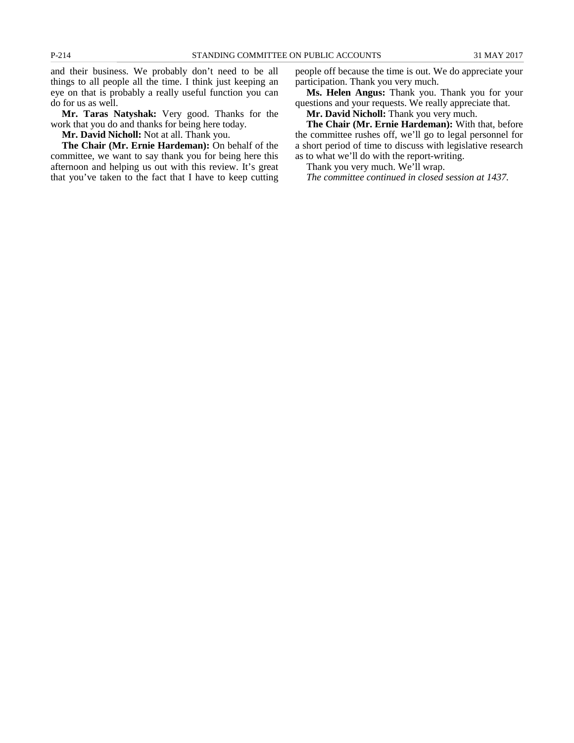and their business. We probably don't need to be all things to all people all the time. I think just keeping an eye on that is probably a really useful function you can do for us as well.

**Mr. Taras Natyshak:** Very good. Thanks for the work that you do and thanks for being here today.

**Mr. David Nicholl:** Not at all. Thank you.

**The Chair (Mr. Ernie Hardeman):** On behalf of the committee, we want to say thank you for being here this afternoon and helping us out with this review. It's great that you've taken to the fact that I have to keep cutting people off because the time is out. We do appreciate your participation. Thank you very much.

**Ms. Helen Angus:** Thank you. Thank you for your questions and your requests. We really appreciate that.

**Mr. David Nicholl:** Thank you very much.

**The Chair (Mr. Ernie Hardeman):** With that, before the committee rushes off, we'll go to legal personnel for a short period of time to discuss with legislative research as to what we'll do with the report-writing.

Thank you very much. We'll wrap.

*The committee continued in closed session at 1437.*